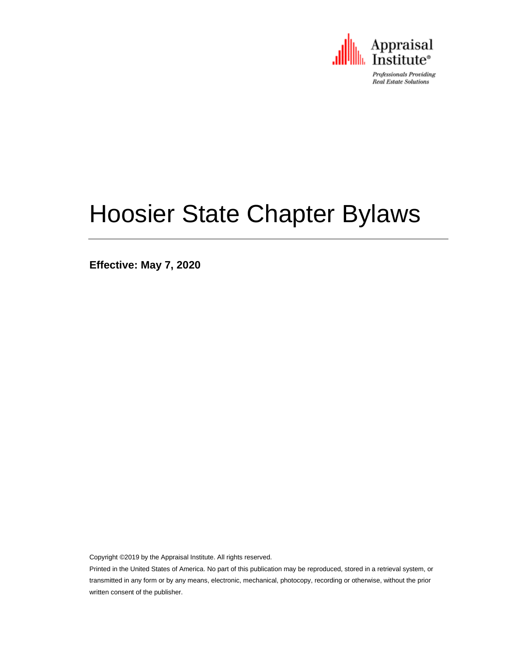

Professionals Providing **Real Estate Solutions** 

# Hoosier State Chapter Bylaws

**Effective: May 7, 2020**

Copyright ©2019 by the Appraisal Institute. All rights reserved.

Printed in the United States of America. No part of this publication may be reproduced, stored in a retrieval system, or transmitted in any form or by any means, electronic, mechanical, photocopy, recording or otherwise, without the prior written consent of the publisher.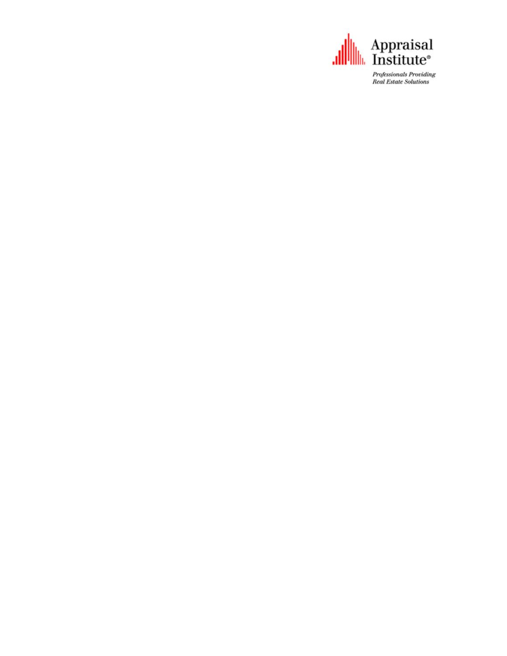

Professionals Providing **Real Estate Solutions**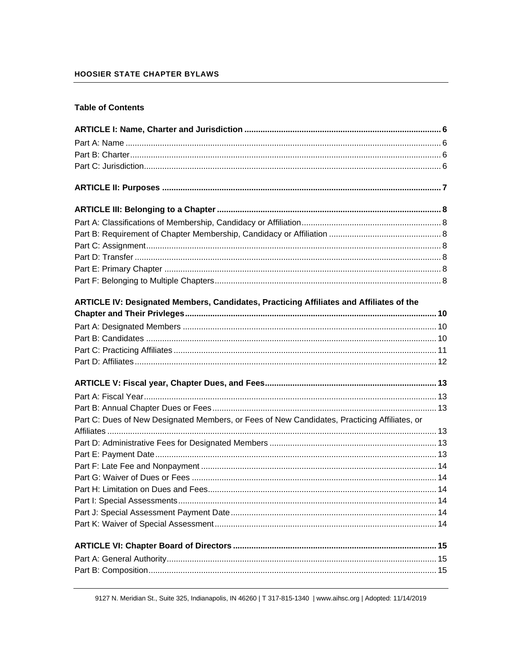#### **HOOSIER STATE CHAPTER BYLAWS**

#### **Table of Contents**

| ARTICLE IV: Designated Members, Candidates, Practicing Affiliates and Affiliates of the      |  |
|----------------------------------------------------------------------------------------------|--|
|                                                                                              |  |
|                                                                                              |  |
|                                                                                              |  |
|                                                                                              |  |
|                                                                                              |  |
|                                                                                              |  |
|                                                                                              |  |
|                                                                                              |  |
| Part C: Dues of New Designated Members, or Fees of New Candidates, Practicing Affiliates, or |  |
|                                                                                              |  |
|                                                                                              |  |
|                                                                                              |  |
|                                                                                              |  |
|                                                                                              |  |
|                                                                                              |  |
|                                                                                              |  |
|                                                                                              |  |
|                                                                                              |  |
|                                                                                              |  |
|                                                                                              |  |
|                                                                                              |  |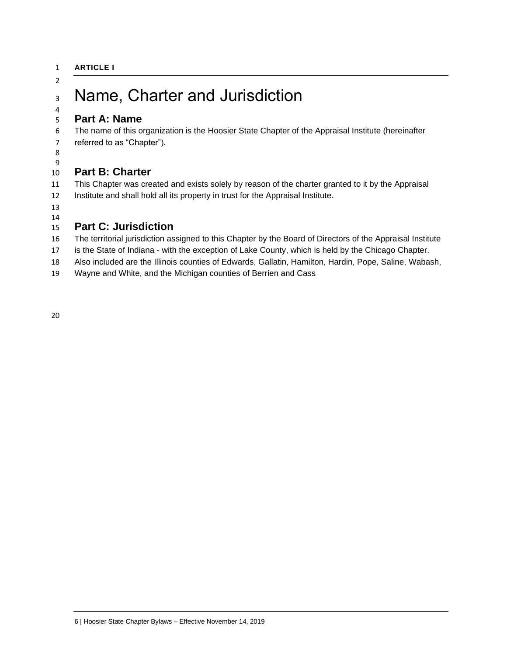## Name, Charter and Jurisdiction

#### <span id="page-5-1"></span> **Part A: Name**

 The name of this organization is the Hoosier State Chapter of the Appraisal Institute (hereinafter referred to as "Chapter").

<span id="page-5-0"></span>

#### <span id="page-5-2"></span> **Part B: Charter**

 This Chapter was created and exists solely by reason of the charter granted to it by the Appraisal Institute and shall hold all its property in trust for the Appraisal Institute.

#### <span id="page-5-3"></span> **Part C: Jurisdiction**

The territorial jurisdiction assigned to this Chapter by the Board of Directors of the Appraisal Institute

is the State of Indiana - with the exception of Lake County, which is held by the Chicago Chapter.

Also included are the Illinois counties of Edwards, Gallatin, Hamilton, Hardin, Pope, Saline, Wabash,

Wayne and White, and the Michigan counties of Berrien and Cass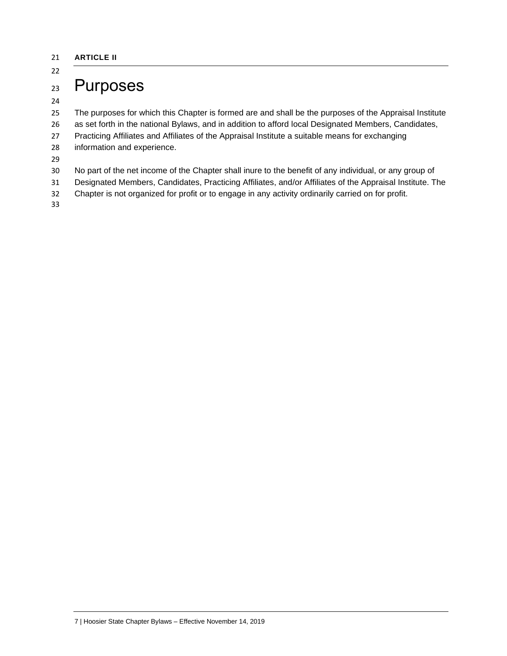#### <span id="page-6-0"></span>**ARTICLE II**

## Purposes

The purposes for which this Chapter is formed are and shall be the purposes of the Appraisal Institute

- as set forth in the national Bylaws, and in addition to afford local Designated Members, Candidates,
- Practicing Affiliates and Affiliates of the Appraisal Institute a suitable means for exchanging
- information and experience.
- 
- No part of the net income of the Chapter shall inure to the benefit of any individual, or any group of
- Designated Members, Candidates, Practicing Affiliates, and/or Affiliates of the Appraisal Institute. The
- Chapter is not organized for profit or to engage in any activity ordinarily carried on for profit.
-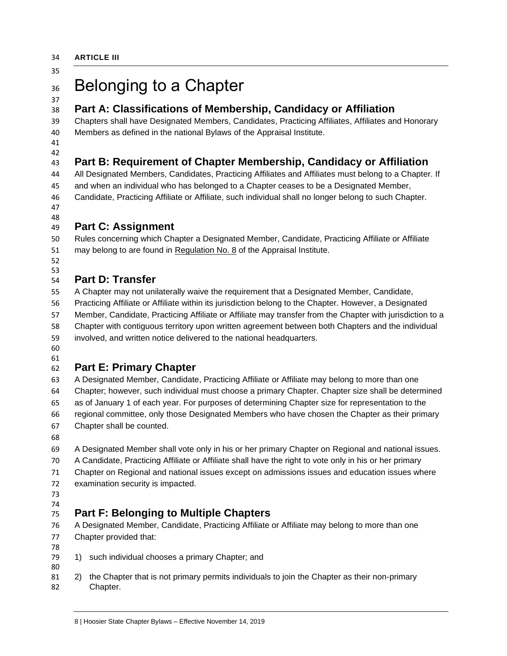<span id="page-7-0"></span>

## 36 Belonging to a Chapter

## <span id="page-7-1"></span>**Part A: Classifications of Membership, Candidacy or Affiliation**

 Chapters shall have Designated Members, Candidates, Practicing Affiliates, Affiliates and Honorary Members as defined in the national Bylaws of the Appraisal Institute.

 

## <span id="page-7-2"></span>**Part B: Requirement of Chapter Membership, Candidacy or Affiliation**

 All Designated Members, Candidates, Practicing Affiliates and Affiliates must belong to a Chapter. If and when an individual who has belonged to a Chapter ceases to be a Designated Member, Candidate, Practicing Affiliate or Affiliate, such individual shall no longer belong to such Chapter.

#### <span id="page-7-3"></span> **Part C: Assignment**

 Rules concerning which Chapter a Designated Member, Candidate, Practicing Affiliate or Affiliate may belong to are found in Regulation No. 8 of the Appraisal Institute.

 

## <span id="page-7-4"></span>**Part D: Transfer**

 A Chapter may not unilaterally waive the requirement that a Designated Member, Candidate, Practicing Affiliate or Affiliate within its jurisdiction belong to the Chapter. However, a Designated Member, Candidate, Practicing Affiliate or Affiliate may transfer from the Chapter with jurisdiction to a Chapter with contiguous territory upon written agreement between both Chapters and the individual involved, and written notice delivered to the national headquarters.

 

## <span id="page-7-5"></span>**Part E: Primary Chapter**

 A Designated Member, Candidate, Practicing Affiliate or Affiliate may belong to more than one Chapter; however, such individual must choose a primary Chapter. Chapter size shall be determined as of January 1 of each year. For purposes of determining Chapter size for representation to the regional committee, only those Designated Members who have chosen the Chapter as their primary Chapter shall be counted.

A Designated Member shall vote only in his or her primary Chapter on Regional and national issues.

A Candidate, Practicing Affiliate or Affiliate shall have the right to vote only in his or her primary

- Chapter on Regional and national issues except on admissions issues and education issues where
- examination security is impacted.
- 

#### <span id="page-7-6"></span> **Part F: Belonging to Multiple Chapters**

 A Designated Member, Candidate, Practicing Affiliate or Affiliate may belong to more than one Chapter provided that:

- 79 1) such individual chooses a primary Chapter; and
- 2) the Chapter that is not primary permits individuals to join the Chapter as their non-primary Chapter.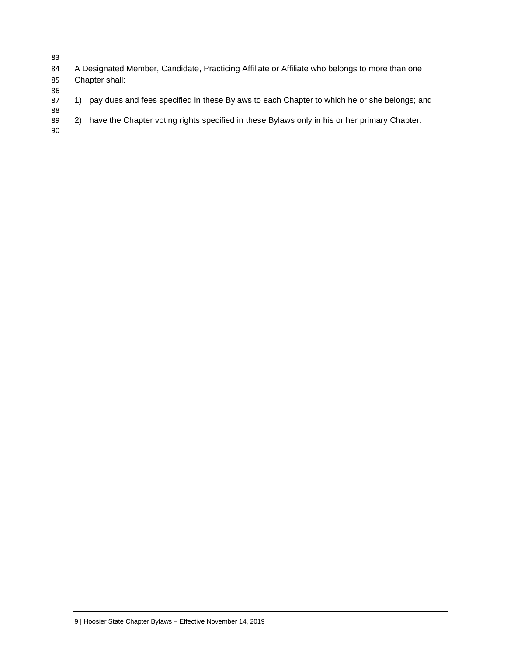- 83
- 84 A Designated Member, Candidate, Practicing Affiliate or Affiliate who belongs to more than one 85 Chapter shall:
- 86<br>87 1) pay dues and fees specified in these Bylaws to each Chapter to which he or she belongs; and
- 88 2) have the Chapter voting rights specified in these Bylaws only in his or her primary Chapter.
- 90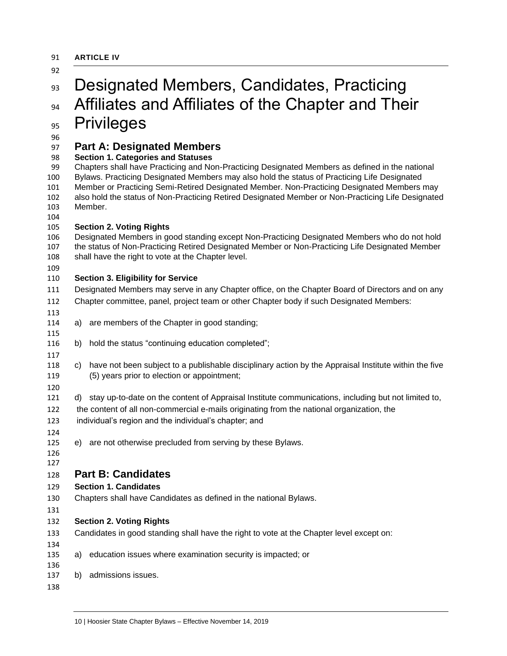<span id="page-9-0"></span>

| 91 | <b>ARTICLE IV</b> |  |
|----|-------------------|--|
|    |                   |  |

<span id="page-9-2"></span><span id="page-9-1"></span>

| 93                                                      | Designated Members, Candidates, Practicing                                                                                                                                                                                                                                                                                                                                                                                                                                                       |  |  |  |
|---------------------------------------------------------|--------------------------------------------------------------------------------------------------------------------------------------------------------------------------------------------------------------------------------------------------------------------------------------------------------------------------------------------------------------------------------------------------------------------------------------------------------------------------------------------------|--|--|--|
| 94                                                      | Affiliates and Affiliates of the Chapter and Their                                                                                                                                                                                                                                                                                                                                                                                                                                               |  |  |  |
| 95                                                      | <b>Privileges</b>                                                                                                                                                                                                                                                                                                                                                                                                                                                                                |  |  |  |
| 96<br>97<br>98<br>99<br>100<br>101<br>102<br>103<br>104 | <b>Part A: Designated Members</b><br><b>Section 1. Categories and Statuses</b><br>Chapters shall have Practicing and Non-Practicing Designated Members as defined in the national<br>Bylaws. Practicing Designated Members may also hold the status of Practicing Life Designated<br>Member or Practicing Semi-Retired Designated Member. Non-Practicing Designated Members may<br>also hold the status of Non-Practicing Retired Designated Member or Non-Practicing Life Designated<br>Member. |  |  |  |
| 105<br>106<br>107<br>108<br>109                         | <b>Section 2. Voting Rights</b><br>Designated Members in good standing except Non-Practicing Designated Members who do not hold<br>the status of Non-Practicing Retired Designated Member or Non-Practicing Life Designated Member<br>shall have the right to vote at the Chapter level.                                                                                                                                                                                                         |  |  |  |
| 110                                                     | <b>Section 3. Eligibility for Service</b>                                                                                                                                                                                                                                                                                                                                                                                                                                                        |  |  |  |
| 111<br>112<br>113                                       | Designated Members may serve in any Chapter office, on the Chapter Board of Directors and on any<br>Chapter committee, panel, project team or other Chapter body if such Designated Members:                                                                                                                                                                                                                                                                                                     |  |  |  |
| 114<br>115                                              | are members of the Chapter in good standing;<br>a)                                                                                                                                                                                                                                                                                                                                                                                                                                               |  |  |  |
| 116<br>117                                              | hold the status "continuing education completed";<br>b)                                                                                                                                                                                                                                                                                                                                                                                                                                          |  |  |  |
| 118<br>119<br>120                                       | have not been subject to a publishable disciplinary action by the Appraisal Institute within the five<br>C)<br>(5) years prior to election or appointment;                                                                                                                                                                                                                                                                                                                                       |  |  |  |
| 121<br>122<br>123<br>124                                | stay up-to-date on the content of Appraisal Institute communications, including but not limited to,<br>d)<br>the content of all non-commercial e-mails originating from the national organization, the<br>individual's region and the individual's chapter; and                                                                                                                                                                                                                                  |  |  |  |
| 125<br>126<br>127                                       | e) are not otherwise precluded from serving by these Bylaws.                                                                                                                                                                                                                                                                                                                                                                                                                                     |  |  |  |
| 128                                                     | <b>Part B: Candidates</b>                                                                                                                                                                                                                                                                                                                                                                                                                                                                        |  |  |  |
| 129                                                     | <b>Section 1. Candidates</b>                                                                                                                                                                                                                                                                                                                                                                                                                                                                     |  |  |  |
| 130<br>131                                              | Chapters shall have Candidates as defined in the national Bylaws.                                                                                                                                                                                                                                                                                                                                                                                                                                |  |  |  |
| 132<br>133<br>134                                       | <b>Section 2. Voting Rights</b><br>Candidates in good standing shall have the right to vote at the Chapter level except on:                                                                                                                                                                                                                                                                                                                                                                      |  |  |  |
| 135<br>136                                              | education issues where examination security is impacted; or<br>a)                                                                                                                                                                                                                                                                                                                                                                                                                                |  |  |  |
| 137<br>138                                              | admissions issues.<br>b)                                                                                                                                                                                                                                                                                                                                                                                                                                                                         |  |  |  |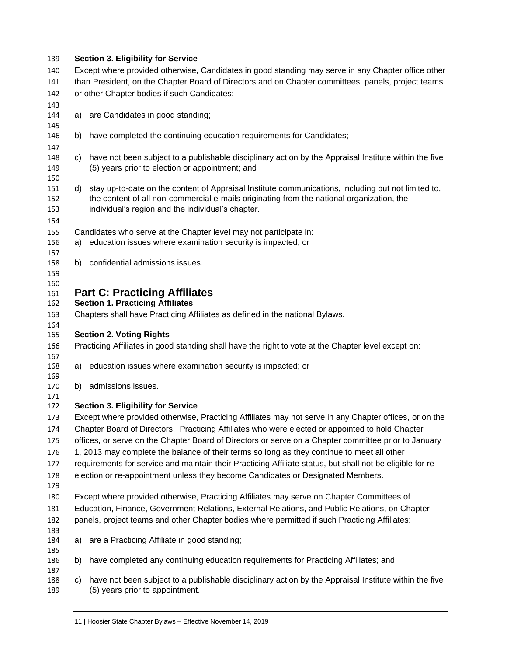<span id="page-10-0"></span>

| 139                      |                                                                                                    | <b>Section 3. Eligibility for Service</b>                                                                                                                                                                                                             |  |  |
|--------------------------|----------------------------------------------------------------------------------------------------|-------------------------------------------------------------------------------------------------------------------------------------------------------------------------------------------------------------------------------------------------------|--|--|
| 140                      | Except where provided otherwise, Candidates in good standing may serve in any Chapter office other |                                                                                                                                                                                                                                                       |  |  |
| 141                      | than President, on the Chapter Board of Directors and on Chapter committees, panels, project teams |                                                                                                                                                                                                                                                       |  |  |
| 142                      | or other Chapter bodies if such Candidates:                                                        |                                                                                                                                                                                                                                                       |  |  |
| 143                      |                                                                                                    |                                                                                                                                                                                                                                                       |  |  |
| 144                      | a)                                                                                                 | are Candidates in good standing;                                                                                                                                                                                                                      |  |  |
| 145                      |                                                                                                    |                                                                                                                                                                                                                                                       |  |  |
| 146                      | b)                                                                                                 | have completed the continuing education requirements for Candidates;                                                                                                                                                                                  |  |  |
| 147                      |                                                                                                    |                                                                                                                                                                                                                                                       |  |  |
| 148<br>149<br>150        | C)                                                                                                 | have not been subject to a publishable disciplinary action by the Appraisal Institute within the five<br>(5) years prior to election or appointment; and                                                                                              |  |  |
| 151<br>152<br>153<br>154 | d)                                                                                                 | stay up-to-date on the content of Appraisal Institute communications, including but not limited to,<br>the content of all non-commercial e-mails originating from the national organization, the<br>individual's region and the individual's chapter. |  |  |
| 155                      |                                                                                                    | Candidates who serve at the Chapter level may not participate in:                                                                                                                                                                                     |  |  |
| 156                      |                                                                                                    | a) education issues where examination security is impacted; or                                                                                                                                                                                        |  |  |
| 157                      |                                                                                                    |                                                                                                                                                                                                                                                       |  |  |
| 158<br>159               | b)                                                                                                 | confidential admissions issues.                                                                                                                                                                                                                       |  |  |
| 160                      |                                                                                                    |                                                                                                                                                                                                                                                       |  |  |
| 161                      |                                                                                                    | <b>Part C: Practicing Affiliates</b>                                                                                                                                                                                                                  |  |  |
| 162                      |                                                                                                    | <b>Section 1. Practicing Affiliates</b>                                                                                                                                                                                                               |  |  |
| 163                      |                                                                                                    | Chapters shall have Practicing Affiliates as defined in the national Bylaws.                                                                                                                                                                          |  |  |
| 164                      |                                                                                                    |                                                                                                                                                                                                                                                       |  |  |
| 165                      | <b>Section 2. Voting Rights</b>                                                                    |                                                                                                                                                                                                                                                       |  |  |
| 166<br>167               |                                                                                                    | Practicing Affiliates in good standing shall have the right to vote at the Chapter level except on:                                                                                                                                                   |  |  |
| 168                      | a)                                                                                                 | education issues where examination security is impacted; or                                                                                                                                                                                           |  |  |
| 169                      |                                                                                                    |                                                                                                                                                                                                                                                       |  |  |
| 170                      | b)                                                                                                 | admissions issues.                                                                                                                                                                                                                                    |  |  |
| 171                      |                                                                                                    |                                                                                                                                                                                                                                                       |  |  |
| 172                      |                                                                                                    | <b>Section 3. Eligibility for Service</b>                                                                                                                                                                                                             |  |  |
| 173                      |                                                                                                    | Except where provided otherwise, Practicing Affiliates may not serve in any Chapter offices, or on the<br>Chapter Board of Directors. Practicing Affiliates who were elected or appointed to hold Chapter                                             |  |  |
| 174                      |                                                                                                    |                                                                                                                                                                                                                                                       |  |  |
| 175                      |                                                                                                    | offices, or serve on the Chapter Board of Directors or serve on a Chapter committee prior to January                                                                                                                                                  |  |  |
| 176                      |                                                                                                    | 1, 2013 may complete the balance of their terms so long as they continue to meet all other                                                                                                                                                            |  |  |
| 177                      |                                                                                                    | requirements for service and maintain their Practicing Affiliate status, but shall not be eligible for re-                                                                                                                                            |  |  |
| 178<br>179               |                                                                                                    | election or re-appointment unless they become Candidates or Designated Members.                                                                                                                                                                       |  |  |
| 180                      |                                                                                                    | Except where provided otherwise, Practicing Affiliates may serve on Chapter Committees of                                                                                                                                                             |  |  |
| 181                      |                                                                                                    | Education, Finance, Government Relations, External Relations, and Public Relations, on Chapter                                                                                                                                                        |  |  |
| 182                      |                                                                                                    | panels, project teams and other Chapter bodies where permitted if such Practicing Affiliates:                                                                                                                                                         |  |  |
| 183<br>184               | a)                                                                                                 | are a Practicing Affiliate in good standing;                                                                                                                                                                                                          |  |  |
| 185<br>186               | b)                                                                                                 | have completed any continuing education requirements for Practicing Affiliates; and                                                                                                                                                                   |  |  |
| 187                      |                                                                                                    |                                                                                                                                                                                                                                                       |  |  |
| 188<br>189               | C)                                                                                                 | have not been subject to a publishable disciplinary action by the Appraisal Institute within the five<br>(5) years prior to appointment.                                                                                                              |  |  |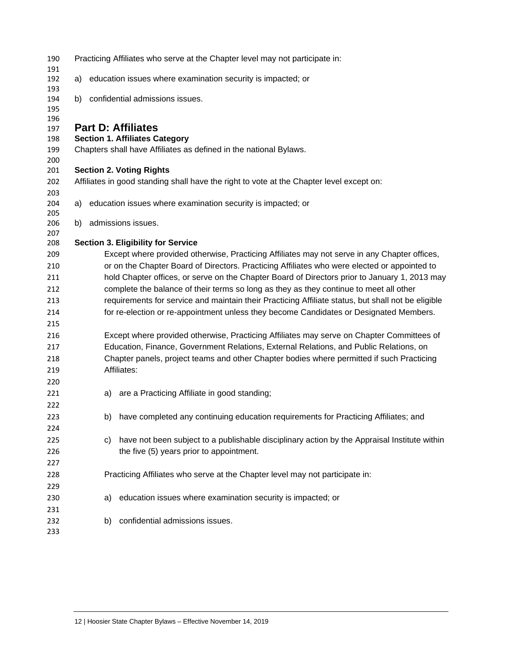<span id="page-11-0"></span>

| 190<br>191 |    |    | Practicing Affiliates who serve at the Chapter level may not participate in:                       |
|------------|----|----|----------------------------------------------------------------------------------------------------|
| 192<br>193 | a) |    | education issues where examination security is impacted; or                                        |
| 194<br>195 | b) |    | confidential admissions issues.                                                                    |
| 196<br>197 |    |    | <b>Part D: Affiliates</b>                                                                          |
| 198        |    |    | <b>Section 1. Affiliates Category</b>                                                              |
| 199<br>200 |    |    | Chapters shall have Affiliates as defined in the national Bylaws.                                  |
| 201        |    |    | <b>Section 2. Voting Rights</b>                                                                    |
| 202<br>203 |    |    | Affiliates in good standing shall have the right to vote at the Chapter level except on:           |
| 204<br>205 | a) |    | education issues where examination security is impacted; or                                        |
| 206<br>207 | b) |    | admissions issues.                                                                                 |
| 208        |    |    | <b>Section 3. Eligibility for Service</b>                                                          |
| 209        |    |    | Except where provided otherwise, Practicing Affiliates may not serve in any Chapter offices,       |
| 210        |    |    | or on the Chapter Board of Directors. Practicing Affiliates who were elected or appointed to       |
| 211        |    |    | hold Chapter offices, or serve on the Chapter Board of Directors prior to January 1, 2013 may      |
| 212        |    |    | complete the balance of their terms so long as they as they continue to meet all other             |
| 213        |    |    | requirements for service and maintain their Practicing Affiliate status, but shall not be eligible |
| 214        |    |    | for re-election or re-appointment unless they become Candidates or Designated Members.             |
| 215        |    |    |                                                                                                    |
| 216        |    |    | Except where provided otherwise, Practicing Affiliates may serve on Chapter Committees of          |
| 217        |    |    | Education, Finance, Government Relations, External Relations, and Public Relations, on             |
| 218        |    |    | Chapter panels, project teams and other Chapter bodies where permitted if such Practicing          |
| 219        |    |    | Affiliates:                                                                                        |
| 220        |    |    |                                                                                                    |
| 221        |    | a) | are a Practicing Affiliate in good standing;                                                       |
| 222        |    |    |                                                                                                    |
| 223        |    | b) | have completed any continuing education requirements for Practicing Affiliates; and                |
| 224        |    |    |                                                                                                    |
| 225        |    | C) | have not been subject to a publishable disciplinary action by the Appraisal Institute within       |
| 226        |    |    | the five (5) years prior to appointment.                                                           |
| 227        |    |    |                                                                                                    |
| 228        |    |    | Practicing Affiliates who serve at the Chapter level may not participate in:                       |
| 229        |    |    |                                                                                                    |
| 230        |    | a) | education issues where examination security is impacted; or                                        |
| 231        |    |    |                                                                                                    |
| 232<br>233 |    | b) | confidential admissions issues.                                                                    |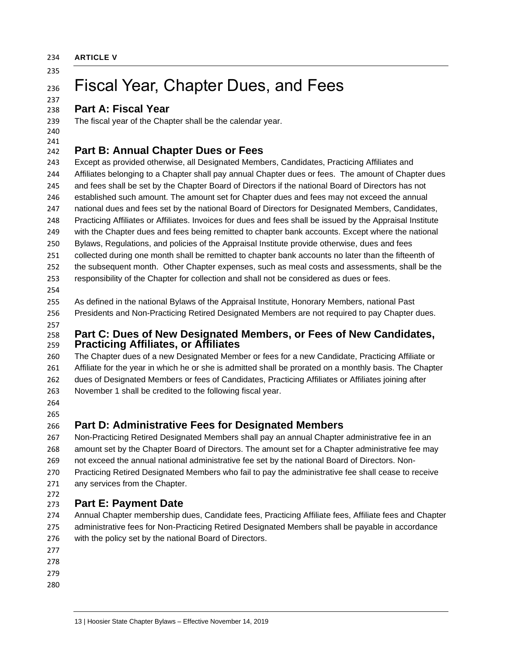<span id="page-12-0"></span>**ARTICLE V**

 

## Fiscal Year, Chapter Dues, and Fees

### <span id="page-12-1"></span>**Part A: Fiscal Year**

The fiscal year of the Chapter shall be the calendar year.

 

## <span id="page-12-2"></span>**Part B: Annual Chapter Dues or Fees**

<span id="page-12-3"></span> Except as provided otherwise, all Designated Members, Candidates, Practicing Affiliates and Affiliates belonging to a Chapter shall pay annual Chapter dues or fees. The amount of Chapter dues and fees shall be set by the Chapter Board of Directors if the national Board of Directors has not established such amount. The amount set for Chapter dues and fees may not exceed the annual national dues and fees set by the national Board of Directors for Designated Members, Candidates, Practicing Affiliates or Affiliates. Invoices for dues and fees shall be issued by the Appraisal Institute with the Chapter dues and fees being remitted to chapter bank accounts. Except where the national Bylaws, Regulations, and policies of the Appraisal Institute provide otherwise, dues and fees collected during one month shall be remitted to chapter bank accounts no later than the fifteenth of the subsequent month. Other Chapter expenses, such as meal costs and assessments, shall be the responsibility of the Chapter for collection and shall not be considered as dues or fees.

 As defined in the national Bylaws of the Appraisal Institute, Honorary Members, national Past Presidents and Non-Practicing Retired Designated Members are not required to pay Chapter dues.

#### **Part C: Dues of New Designated Members, or Fees of New Candidates, Practicing Affiliates, or Affiliates**

 The Chapter dues of a new Designated Member or fees for a new Candidate, Practicing Affiliate or Affiliate for the year in which he or she is admitted shall be prorated on a monthly basis. The Chapter dues of Designated Members or fees of Candidates, Practicing Affiliates or Affiliates joining after November 1 shall be credited to the following fiscal year.

 

## <span id="page-12-4"></span>**Part D: Administrative Fees for Designated Members**

 Non-Practicing Retired Designated Members shall pay an annual Chapter administrative fee in an amount set by the Chapter Board of Directors. The amount set for a Chapter administrative fee may not exceed the annual national administrative fee set by the national Board of Directors. Non- Practicing Retired Designated Members who fail to pay the administrative fee shall cease to receive any services from the Chapter.

#### <span id="page-12-5"></span> **Part E: Payment Date**

 Annual Chapter membership dues, Candidate fees, Practicing Affiliate fees, Affiliate fees and Chapter administrative fees for Non-Practicing Retired Designated Members shall be payable in accordance with the policy set by the national Board of Directors.

- 
- 
- 
-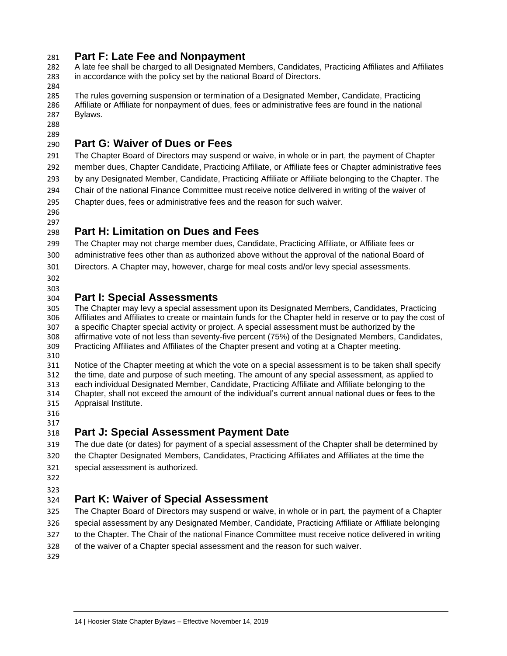### <span id="page-13-0"></span>**Part F: Late Fee and Nonpayment**

 A late fee shall be charged to all Designated Members, Candidates, Practicing Affiliates and Affiliates in accordance with the policy set by the national Board of Directors.

284<br>285

The rules governing suspension or termination of a Designated Member, Candidate, Practicing Affiliate or Affiliate for nonpayment of dues, fees or administrative fees are found in the national Bylaws.

 

## <span id="page-13-1"></span>**Part G: Waiver of Dues or Fees**

 The Chapter Board of Directors may suspend or waive, in whole or in part, the payment of Chapter member dues, Chapter Candidate, Practicing Affiliate, or Affiliate fees or Chapter administrative fees by any Designated Member, Candidate, Practicing Affiliate or Affiliate belonging to the Chapter. The Chair of the national Finance Committee must receive notice delivered in writing of the waiver of Chapter dues, fees or administrative fees and the reason for such waiver.

 

## <span id="page-13-2"></span>**Part H: Limitation on Dues and Fees**

 The Chapter may not charge member dues, Candidate, Practicing Affiliate, or Affiliate fees or administrative fees other than as authorized above without the approval of the national Board of Directors. A Chapter may, however, charge for meal costs and/or levy special assessments.

 

## <span id="page-13-3"></span>**Part I: Special Assessments**

 The Chapter may levy a special assessment upon its Designated Members, Candidates, Practicing Affiliates and Affiliates to create or maintain funds for the Chapter held in reserve or to pay the cost of a specific Chapter special activity or project. A special assessment must be authorized by the affirmative vote of not less than seventy-five percent (75%) of the Designated Members, Candidates, Practicing Affiliates and Affiliates of the Chapter present and voting at a Chapter meeting.

 Notice of the Chapter meeting at which the vote on a special assessment is to be taken shall specify the time, date and purpose of such meeting. The amount of any special assessment, as applied to each individual Designated Member, Candidate, Practicing Affiliate and Affiliate belonging to the Chapter, shall not exceed the amount of the individual's current annual national dues or fees to the Appraisal Institute.

 

## <span id="page-13-4"></span>**Part J: Special Assessment Payment Date**

 The due date (or dates) for payment of a special assessment of the Chapter shall be determined by the Chapter Designated Members, Candidates, Practicing Affiliates and Affiliates at the time the special assessment is authorized.

## 

## <span id="page-13-5"></span>**Part K: Waiver of Special Assessment**

 The Chapter Board of Directors may suspend or waive, in whole or in part, the payment of a Chapter special assessment by any Designated Member, Candidate, Practicing Affiliate or Affiliate belonging to the Chapter. The Chair of the national Finance Committee must receive notice delivered in writing of the waiver of a Chapter special assessment and the reason for such waiver.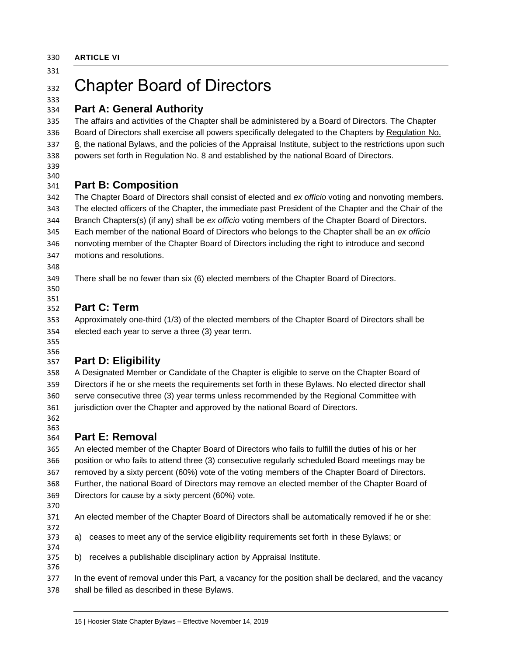<span id="page-14-0"></span>**ARTICLE VI**

## 332 Chapter Board of Directors

#### <span id="page-14-1"></span> **Part A: General Authority**

 The affairs and activities of the Chapter shall be administered by a Board of Directors. The Chapter 336 Board of Directors shall exercise all powers specifically delegated to the Chapters by Regulation No. 8, the national Bylaws, and the policies of the Appraisal Institute, subject to the restrictions upon such powers set forth in Regulation No. 8 and established by the national Board of Directors.

 

## <span id="page-14-2"></span>**Part B: Composition**

 The Chapter Board of Directors shall consist of elected and *ex officio* voting and nonvoting members. The elected officers of the Chapter, the immediate past President of the Chapter and the Chair of the Branch Chapters(s) (if any) shall be *ex officio* voting members of the Chapter Board of Directors. Each member of the national Board of Directors who belongs to the Chapter shall be an *ex officio* nonvoting member of the Chapter Board of Directors including the right to introduce and second motions and resolutions.

There shall be no fewer than six (6) elected members of the Chapter Board of Directors.

#### <span id="page-14-3"></span> **Part C: Term**

 Approximately one-third (1/3) of the elected members of the Chapter Board of Directors shall be elected each year to serve a three (3) year term.

 

## <span id="page-14-4"></span>**Part D: Eligibility**

 A Designated Member or Candidate of the Chapter is eligible to serve on the Chapter Board of Directors if he or she meets the requirements set forth in these Bylaws. No elected director shall serve consecutive three (3) year terms unless recommended by the Regional Committee with jurisdiction over the Chapter and approved by the national Board of Directors.

 

## <span id="page-14-5"></span>**Part E: Removal**

 An elected member of the Chapter Board of Directors who fails to fulfill the duties of his or her position or who fails to attend three (3) consecutive regularly scheduled Board meetings may be removed by a sixty percent (60%) vote of the voting members of the Chapter Board of Directors. Further, the national Board of Directors may remove an elected member of the Chapter Board of Directors for cause by a sixty percent (60%) vote.

- 
- 

 An elected member of the Chapter Board of Directors shall be automatically removed if he or she: 

- a) ceases to meet any of the service eligibility requirements set forth in these Bylaws; or
- b) receives a publishable disciplinary action by Appraisal Institute.

 In the event of removal under this Part, a vacancy for the position shall be declared, and the vacancy shall be filled as described in these Bylaws.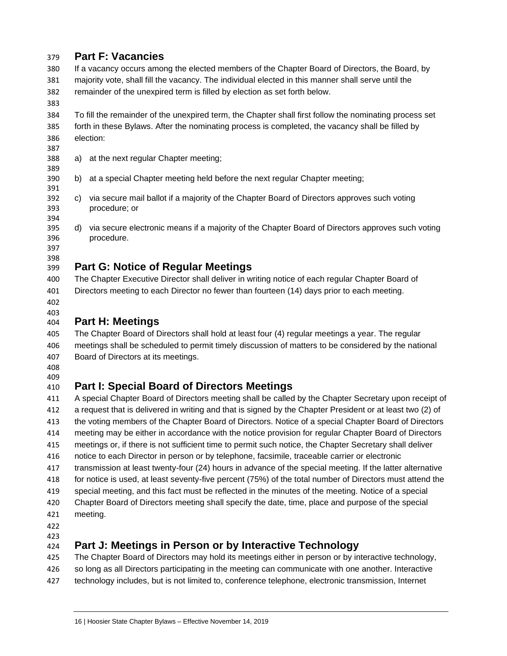### <span id="page-15-0"></span>**Part F: Vacancies**

 If a vacancy occurs among the elected members of the Chapter Board of Directors, the Board, by majority vote, shall fill the vacancy. The individual elected in this manner shall serve until the remainder of the unexpired term is filled by election as set forth below.

 To fill the remainder of the unexpired term, the Chapter shall first follow the nominating process set forth in these Bylaws. After the nominating process is completed, the vacancy shall be filled by election:

- a) at the next regular Chapter meeting;
- b) at a special Chapter meeting held before the next regular Chapter meeting;
- c) via secure mail ballot if a majority of the Chapter Board of Directors approves such voting procedure; or
- d) via secure electronic means if a majority of the Chapter Board of Directors approves such voting procedure.
- 

### <span id="page-15-1"></span>**Part G: Notice of Regular Meetings**

 The Chapter Executive Director shall deliver in writing notice of each regular Chapter Board of Directors meeting to each Director no fewer than fourteen (14) days prior to each meeting.

 

## <span id="page-15-2"></span>**Part H: Meetings**

 The Chapter Board of Directors shall hold at least four (4) regular meetings a year. The regular meetings shall be scheduled to permit timely discussion of matters to be considered by the national Board of Directors at its meetings.

 

## <span id="page-15-3"></span>**Part I: Special Board of Directors Meetings**

 A special Chapter Board of Directors meeting shall be called by the Chapter Secretary upon receipt of a request that is delivered in writing and that is signed by the Chapter President or at least two (2) of the voting members of the Chapter Board of Directors. Notice of a special Chapter Board of Directors meeting may be either in accordance with the notice provision for regular Chapter Board of Directors meetings or, if there is not sufficient time to permit such notice, the Chapter Secretary shall deliver notice to each Director in person or by telephone, facsimile, traceable carrier or electronic transmission at least twenty-four (24) hours in advance of the special meeting. If the latter alternative for notice is used, at least seventy-five percent (75%) of the total number of Directors must attend the special meeting, and this fact must be reflected in the minutes of the meeting. Notice of a special Chapter Board of Directors meeting shall specify the date, time, place and purpose of the special meeting.

- 
- 

## <span id="page-15-4"></span>**Part J: Meetings in Person or by Interactive Technology**

 The Chapter Board of Directors may hold its meetings either in person or by interactive technology, so long as all Directors participating in the meeting can communicate with one another. Interactive technology includes, but is not limited to, conference telephone, electronic transmission, Internet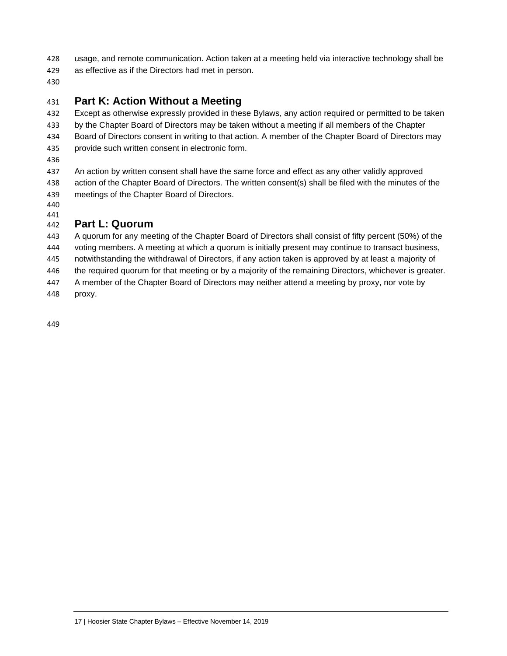usage, and remote communication. Action taken at a meeting held via interactive technology shall be

as effective as if the Directors had met in person.

## <span id="page-16-0"></span>**Part K: Action Without a Meeting**

 Except as otherwise expressly provided in these Bylaws, any action required or permitted to be taken by the Chapter Board of Directors may be taken without a meeting if all members of the Chapter Board of Directors consent in writing to that action. A member of the Chapter Board of Directors may provide such written consent in electronic form.

 An action by written consent shall have the same force and effect as any other validly approved action of the Chapter Board of Directors. The written consent(s) shall be filed with the minutes of the meetings of the Chapter Board of Directors.

 

## <span id="page-16-1"></span>**Part L: Quorum**

 A quorum for any meeting of the Chapter Board of Directors shall consist of fifty percent (50%) of the voting members. A meeting at which a quorum is initially present may continue to transact business, notwithstanding the withdrawal of Directors, if any action taken is approved by at least a majority of the required quorum for that meeting or by a majority of the remaining Directors, whichever is greater. A member of the Chapter Board of Directors may neither attend a meeting by proxy, nor vote by proxy.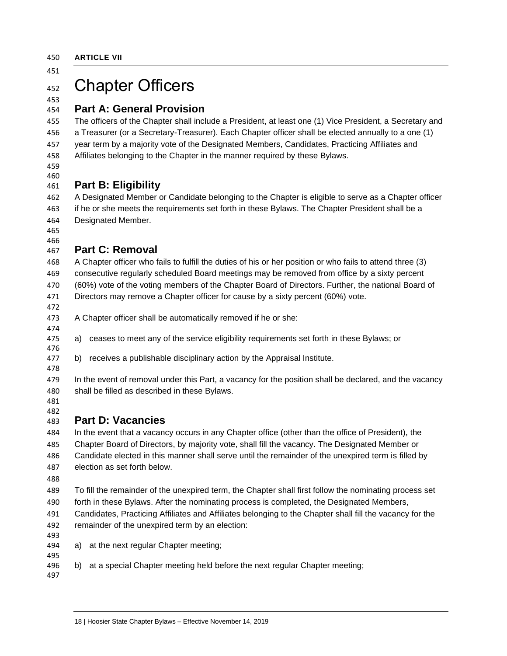## <span id="page-17-0"></span>452 Chapter Officers

#### <span id="page-17-1"></span> **Part A: General Provision**

 The officers of the Chapter shall include a President, at least one (1) Vice President, a Secretary and a Treasurer (or a Secretary-Treasurer). Each Chapter officer shall be elected annually to a one (1) year term by a majority vote of the Designated Members, Candidates, Practicing Affiliates and Affiliates belonging to the Chapter in the manner required by these Bylaws.

 

## <span id="page-17-2"></span>**Part B: Eligibility**

 A Designated Member or Candidate belonging to the Chapter is eligible to serve as a Chapter officer if he or she meets the requirements set forth in these Bylaws. The Chapter President shall be a Designated Member.

 

## <span id="page-17-3"></span>**Part C: Removal**

 A Chapter officer who fails to fulfill the duties of his or her position or who fails to attend three (3) consecutive regularly scheduled Board meetings may be removed from office by a sixty percent (60%) vote of the voting members of the Chapter Board of Directors. Further, the national Board of Directors may remove a Chapter officer for cause by a sixty percent (60%) vote.

A Chapter officer shall be automatically removed if he or she:

- a) ceases to meet any of the service eligibility requirements set forth in these Bylaws; or
- b) receives a publishable disciplinary action by the Appraisal Institute.
- 

 In the event of removal under this Part, a vacancy for the position shall be declared, and the vacancy shall be filled as described in these Bylaws.

 

## <span id="page-17-4"></span>**Part D: Vacancies**

 In the event that a vacancy occurs in any Chapter office (other than the office of President), the Chapter Board of Directors, by majority vote, shall fill the vacancy. The Designated Member or Candidate elected in this manner shall serve until the remainder of the unexpired term is filled by election as set forth below.

 To fill the remainder of the unexpired term, the Chapter shall first follow the nominating process set forth in these Bylaws. After the nominating process is completed, the Designated Members,

 Candidates, Practicing Affiliates and Affiliates belonging to the Chapter shall fill the vacancy for the remainder of the unexpired term by an election:

- 
- a) at the next regular Chapter meeting;
- b) at a special Chapter meeting held before the next regular Chapter meeting;
-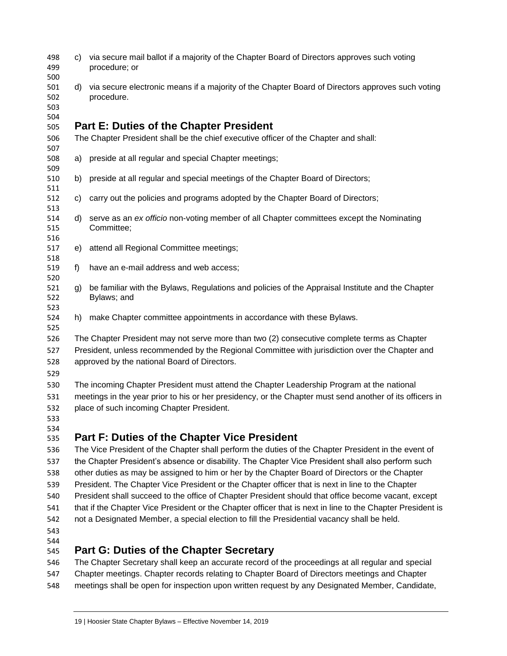<span id="page-18-0"></span>

| 498<br>499               | C)                                                                                                       | via secure mail ballot if a majority of the Chapter Board of Directors approves such voting<br>procedure; or    |  |  |
|--------------------------|----------------------------------------------------------------------------------------------------------|-----------------------------------------------------------------------------------------------------------------|--|--|
| 500<br>501<br>502<br>503 | d)                                                                                                       | via secure electronic means if a majority of the Chapter Board of Directors approves such voting<br>procedure.  |  |  |
| 504                      |                                                                                                          | <b>Part E: Duties of the Chapter President</b>                                                                  |  |  |
| 505<br>506               |                                                                                                          | The Chapter President shall be the chief executive officer of the Chapter and shall:                            |  |  |
| 507                      |                                                                                                          |                                                                                                                 |  |  |
| 508                      | a)                                                                                                       | preside at all regular and special Chapter meetings;                                                            |  |  |
| 509                      |                                                                                                          |                                                                                                                 |  |  |
| 510                      | b)                                                                                                       | preside at all regular and special meetings of the Chapter Board of Directors;                                  |  |  |
| 511                      |                                                                                                          |                                                                                                                 |  |  |
| 512                      | c)                                                                                                       | carry out the policies and programs adopted by the Chapter Board of Directors;                                  |  |  |
| 513<br>514               | d)                                                                                                       | serve as an ex officio non-voting member of all Chapter committees except the Nominating                        |  |  |
| 515                      |                                                                                                          | Committee;                                                                                                      |  |  |
| 516                      |                                                                                                          |                                                                                                                 |  |  |
| 517                      | e)                                                                                                       | attend all Regional Committee meetings;                                                                         |  |  |
| 518                      |                                                                                                          |                                                                                                                 |  |  |
| 519                      | f)                                                                                                       | have an e-mail address and web access;                                                                          |  |  |
| 520                      |                                                                                                          |                                                                                                                 |  |  |
| 521<br>522               | g)                                                                                                       | be familiar with the Bylaws, Regulations and policies of the Appraisal Institute and the Chapter<br>Bylaws; and |  |  |
| 523                      |                                                                                                          |                                                                                                                 |  |  |
| 524                      |                                                                                                          | h) make Chapter committee appointments in accordance with these Bylaws.                                         |  |  |
| 525                      |                                                                                                          |                                                                                                                 |  |  |
| 526                      |                                                                                                          | The Chapter President may not serve more than two (2) consecutive complete terms as Chapter                     |  |  |
| 527                      |                                                                                                          | President, unless recommended by the Regional Committee with jurisdiction over the Chapter and                  |  |  |
| 528                      |                                                                                                          | approved by the national Board of Directors.                                                                    |  |  |
| 529                      |                                                                                                          |                                                                                                                 |  |  |
| 530                      | The incoming Chapter President must attend the Chapter Leadership Program at the national                |                                                                                                                 |  |  |
| 531                      | meetings in the year prior to his or her presidency, or the Chapter must send another of its officers in |                                                                                                                 |  |  |
| 532                      | place of such incoming Chapter President.                                                                |                                                                                                                 |  |  |
| 533                      |                                                                                                          |                                                                                                                 |  |  |
| 534                      |                                                                                                          |                                                                                                                 |  |  |
| 535                      |                                                                                                          | <b>Part F: Duties of the Chapter Vice President</b>                                                             |  |  |
| 536                      |                                                                                                          | The Vice President of the Chapter shall perform the duties of the Chapter President in the event of             |  |  |
| 537                      |                                                                                                          | the Chapter President's absence or disability. The Chapter Vice President shall also perform such               |  |  |
| 538                      |                                                                                                          | other duties as may be assigned to him or her by the Chapter Board of Directors or the Chapter                  |  |  |
| 539                      |                                                                                                          | President. The Chapter Vice President or the Chapter officer that is next in line to the Chapter                |  |  |
| 540                      |                                                                                                          | President shall succeed to the office of Chapter President should that office become vacant, except             |  |  |
| 541                      |                                                                                                          | that if the Chapter Vice President or the Chapter officer that is next in line to the Chapter President is      |  |  |

- <span id="page-18-1"></span> not a Designated Member, a special election to fill the Presidential vacancy shall be held.
- 

## <span id="page-18-2"></span>**Part G: Duties of the Chapter Secretary**

 The Chapter Secretary shall keep an accurate record of the proceedings at all regular and special Chapter meetings. Chapter records relating to Chapter Board of Directors meetings and Chapter meetings shall be open for inspection upon written request by any Designated Member, Candidate,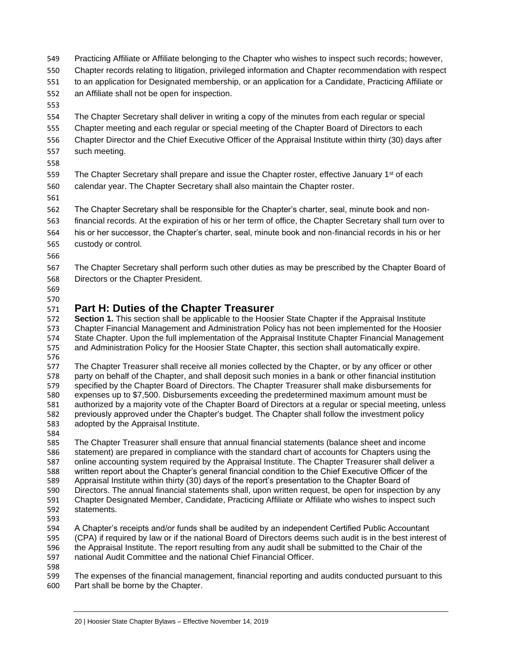- Practicing Affiliate or Affiliate belonging to the Chapter who wishes to inspect such records; however, Chapter records relating to litigation, privileged information and Chapter recommendation with respect to an application for Designated membership, or an application for a Candidate, Practicing Affiliate or an Affiliate shall not be open for inspection.
- 

 The Chapter Secretary shall deliver in writing a copy of the minutes from each regular or special Chapter meeting and each regular or special meeting of the Chapter Board of Directors to each Chapter Director and the Chief Executive Officer of the Appraisal Institute within thirty (30) days after such meeting.

559 The Chapter Secretary shall prepare and issue the Chapter roster, effective January  $1<sup>st</sup>$  of each calendar year. The Chapter Secretary shall also maintain the Chapter roster.

 The Chapter Secretary shall be responsible for the Chapter's charter, seal, minute book and non- financial records. At the expiration of his or her term of office, the Chapter Secretary shall turn over to his or her successor, the Chapter's charter, seal, minute book and non-financial records in his or her custody or control.

 The Chapter Secretary shall perform such other duties as may be prescribed by the Chapter Board of Directors or the Chapter President.

 

## <span id="page-19-0"></span>**Part H: Duties of the Chapter Treasurer**

 **Section 1.** This section shall be applicable to the Hoosier State Chapter if the Appraisal Institute Chapter Financial Management and Administration Policy has not been implemented for the Hoosier State Chapter. Upon the full implementation of the Appraisal Institute Chapter Financial Management and Administration Policy for the Hoosier State Chapter, this section shall automatically expire.

576<br>577

The Chapter Treasurer shall receive all monies collected by the Chapter, or by any officer or other party on behalf of the Chapter, and shall deposit such monies in a bank or other financial institution specified by the Chapter Board of Directors. The Chapter Treasurer shall make disbursements for expenses up to \$7,500. Disbursements exceeding the predetermined maximum amount must be 581 authorized by a majority vote of the Chapter Board of Directors at a regular or special meeting, unless 582 previously approved under the Chapter's budget. The Chapter shall follow the investment policy previously approved under the Chapter's budget. The Chapter shall follow the investment policy adopted by the Appraisal Institute.

584<br>585 The Chapter Treasurer shall ensure that annual financial statements (balance sheet and income statement) are prepared in compliance with the standard chart of accounts for Chapters using the online accounting system required by the Appraisal Institute. The Chapter Treasurer shall deliver a written report about the Chapter's general financial condition to the Chief Executive Officer of the Appraisal Institute within thirty (30) days of the report's presentation to the Chapter Board of Directors. The annual financial statements shall, upon written request, be open for inspection by any Chapter Designated Member, Candidate, Practicing Affiliate or Affiliate who wishes to inspect such statements.

593<br>594 A Chapter's receipts and/or funds shall be audited by an independent Certified Public Accountant (CPA) if required by law or if the national Board of Directors deems such audit is in the best interest of the Appraisal Institute. The report resulting from any audit shall be submitted to the Chair of the national Audit Committee and the national Chief Financial Officer.

 The expenses of the financial management, financial reporting and audits conducted pursuant to this Part shall be borne by the Chapter.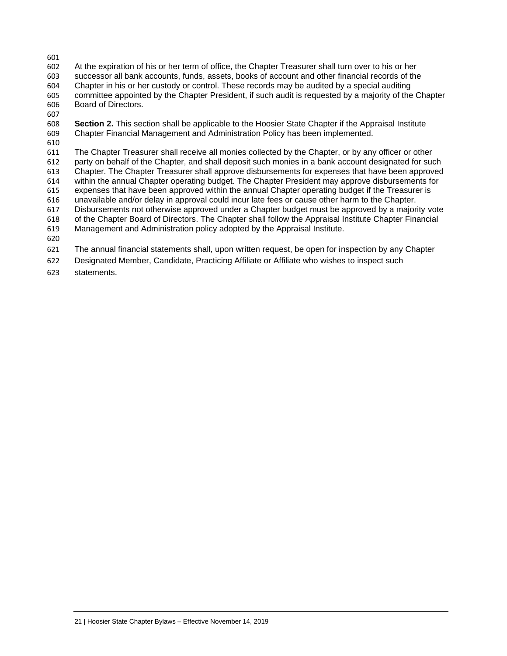At the expiration of his or her term of office, the Chapter Treasurer shall turn over to his or her successor all bank accounts, funds, assets, books of account and other financial records of the Chapter in his or her custody or control. These records may be audited by a special auditing committee appointed by the Chapter President, if such audit is requested by a majority of the Chapter Board of Directors.

 **Section 2.** This section shall be applicable to the Hoosier State Chapter if the Appraisal Institute Chapter Financial Management and Administration Policy has been implemented.

 The Chapter Treasurer shall receive all monies collected by the Chapter, or by any officer or other party on behalf of the Chapter, and shall deposit such monies in a bank account designated for such Chapter. The Chapter Treasurer shall approve disbursements for expenses that have been approved 614 within the annual Chapter operating budget. The Chapter President may approve disbursements for<br>615 expenses that have been approved within the annual Chapter operating budget if the Treasurer is 615 expenses that have been approved within the annual Chapter operating budget if the Treasurer is 616 unavailable and/or delay in approval could incur late fees or cause other harm to the Chapter. unavailable and/or delay in approval could incur late fees or cause other harm to the Chapter. Disbursements not otherwise approved under a Chapter budget must be approved by a majority vote of the Chapter Board of Directors. The Chapter shall follow the Appraisal Institute Chapter Financial Management and Administration policy adopted by the Appraisal Institute. The annual financial statements shall, upon written request, be open for inspection by any Chapter Designated Member, Candidate, Practicing Affiliate or Affiliate who wishes to inspect such

statements.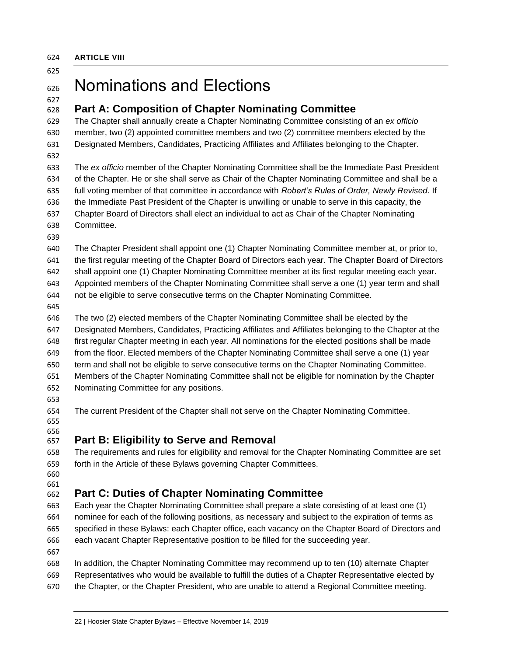<span id="page-21-0"></span>**ARTICLE VIII**

## Nominations and Elections

#### <span id="page-21-1"></span> **Part A: Composition of Chapter Nominating Committee**

 The Chapter shall annually create a Chapter Nominating Committee consisting of an *ex officio* member, two (2) appointed committee members and two (2) committee members elected by the Designated Members, Candidates, Practicing Affiliates and Affiliates belonging to the Chapter.

 The *ex officio* member of the Chapter Nominating Committee shall be the Immediate Past President of the Chapter. He or she shall serve as Chair of the Chapter Nominating Committee and shall be a full voting member of that committee in accordance with *Robert's Rules of Order, Newly Revised*. If the Immediate Past President of the Chapter is unwilling or unable to serve in this capacity, the Chapter Board of Directors shall elect an individual to act as Chair of the Chapter Nominating Committee.

 The Chapter President shall appoint one (1) Chapter Nominating Committee member at, or prior to, the first regular meeting of the Chapter Board of Directors each year. The Chapter Board of Directors shall appoint one (1) Chapter Nominating Committee member at its first regular meeting each year. Appointed members of the Chapter Nominating Committee shall serve a one (1) year term and shall not be eligible to serve consecutive terms on the Chapter Nominating Committee.

 The two (2) elected members of the Chapter Nominating Committee shall be elected by the Designated Members, Candidates, Practicing Affiliates and Affiliates belonging to the Chapter at the first regular Chapter meeting in each year. All nominations for the elected positions shall be made from the floor. Elected members of the Chapter Nominating Committee shall serve a one (1) year term and shall not be eligible to serve consecutive terms on the Chapter Nominating Committee. Members of the Chapter Nominating Committee shall not be eligible for nomination by the Chapter Nominating Committee for any positions.

- 
- 

The current President of the Chapter shall not serve on the Chapter Nominating Committee.

 

## <span id="page-21-2"></span>**Part B: Eligibility to Serve and Removal**

 The requirements and rules for eligibility and removal for the Chapter Nominating Committee are set forth in the Article of these Bylaws governing Chapter Committees.

 

## <span id="page-21-3"></span>**Part C: Duties of Chapter Nominating Committee**

 Each year the Chapter Nominating Committee shall prepare a slate consisting of at least one (1) nominee for each of the following positions, as necessary and subject to the expiration of terms as specified in these Bylaws: each Chapter office, each vacancy on the Chapter Board of Directors and each vacant Chapter Representative position to be filled for the succeeding year.

- 
- In addition, the Chapter Nominating Committee may recommend up to ten (10) alternate Chapter Representatives who would be available to fulfill the duties of a Chapter Representative elected by the Chapter, or the Chapter President, who are unable to attend a Regional Committee meeting.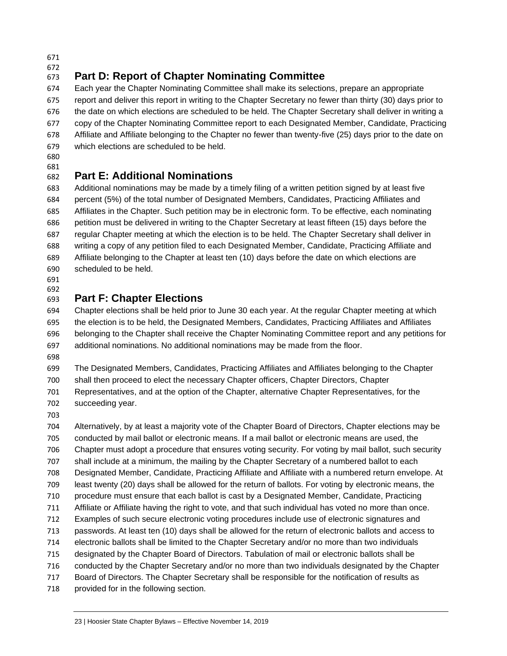#### <span id="page-22-0"></span> **Part D: Report of Chapter Nominating Committee**

 Each year the Chapter Nominating Committee shall make its selections, prepare an appropriate report and deliver this report in writing to the Chapter Secretary no fewer than thirty (30) days prior to the date on which elections are scheduled to be held. The Chapter Secretary shall deliver in writing a copy of the Chapter Nominating Committee report to each Designated Member, Candidate, Practicing Affiliate and Affiliate belonging to the Chapter no fewer than twenty-five (25) days prior to the date on which elections are scheduled to be held.

 

## <span id="page-22-1"></span>**Part E: Additional Nominations**

 Additional nominations may be made by a timely filing of a written petition signed by at least five percent (5%) of the total number of Designated Members, Candidates, Practicing Affiliates and Affiliates in the Chapter. Such petition may be in electronic form. To be effective, each nominating petition must be delivered in writing to the Chapter Secretary at least fifteen (15) days before the regular Chapter meeting at which the election is to be held. The Chapter Secretary shall deliver in writing a copy of any petition filed to each Designated Member, Candidate, Practicing Affiliate and Affiliate belonging to the Chapter at least ten (10) days before the date on which elections are scheduled to be held.

 

## <span id="page-22-2"></span>**Part F: Chapter Elections**

 Chapter elections shall be held prior to June 30 each year. At the regular Chapter meeting at which the election is to be held, the Designated Members, Candidates, Practicing Affiliates and Affiliates belonging to the Chapter shall receive the Chapter Nominating Committee report and any petitions for additional nominations. No additional nominations may be made from the floor.

 The Designated Members, Candidates, Practicing Affiliates and Affiliates belonging to the Chapter shall then proceed to elect the necessary Chapter officers, Chapter Directors, Chapter

 Representatives, and at the option of the Chapter, alternative Chapter Representatives, for the succeeding year.

 Alternatively, by at least a majority vote of the Chapter Board of Directors, Chapter elections may be conducted by mail ballot or electronic means. If a mail ballot or electronic means are used, the Chapter must adopt a procedure that ensures voting security. For voting by mail ballot, such security shall include at a minimum, the mailing by the Chapter Secretary of a numbered ballot to each Designated Member, Candidate, Practicing Affiliate and Affiliate with a numbered return envelope. At least twenty (20) days shall be allowed for the return of ballots. For voting by electronic means, the procedure must ensure that each ballot is cast by a Designated Member, Candidate, Practicing Affiliate or Affiliate having the right to vote, and that such individual has voted no more than once. Examples of such secure electronic voting procedures include use of electronic signatures and passwords. At least ten (10) days shall be allowed for the return of electronic ballots and access to electronic ballots shall be limited to the Chapter Secretary and/or no more than two individuals designated by the Chapter Board of Directors. Tabulation of mail or electronic ballots shall be conducted by the Chapter Secretary and/or no more than two individuals designated by the Chapter Board of Directors. The Chapter Secretary shall be responsible for the notification of results as provided for in the following section.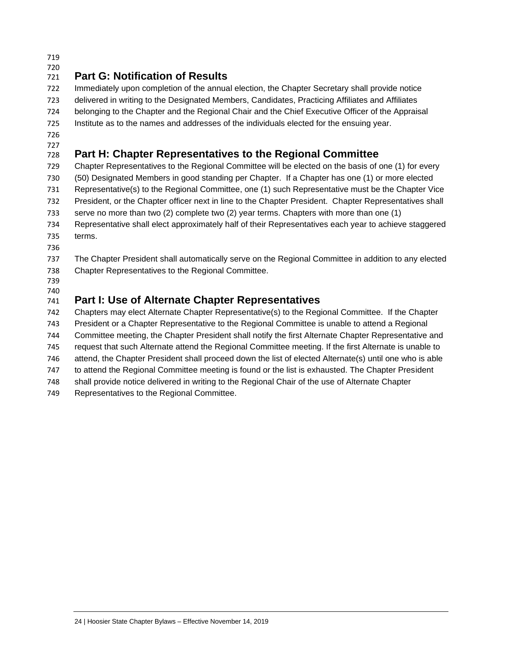#### <span id="page-23-0"></span> **Part G: Notification of Results**

 Immediately upon completion of the annual election, the Chapter Secretary shall provide notice delivered in writing to the Designated Members, Candidates, Practicing Affiliates and Affiliates belonging to the Chapter and the Regional Chair and the Chief Executive Officer of the Appraisal Institute as to the names and addresses of the individuals elected for the ensuing year.

 

## <span id="page-23-1"></span>**Part H: Chapter Representatives to the Regional Committee**

 Chapter Representatives to the Regional Committee will be elected on the basis of one (1) for every (50) Designated Members in good standing per Chapter. If a Chapter has one (1) or more elected Representative(s) to the Regional Committee, one (1) such Representative must be the Chapter Vice President, or the Chapter officer next in line to the Chapter President. Chapter Representatives shall serve no more than two (2) complete two (2) year terms. Chapters with more than one (1) Representative shall elect approximately half of their Representatives each year to achieve staggered terms.

 The Chapter President shall automatically serve on the Regional Committee in addition to any elected Chapter Representatives to the Regional Committee.

 

## <span id="page-23-2"></span>**Part I: Use of Alternate Chapter Representatives**

 Chapters may elect Alternate Chapter Representative(s) to the Regional Committee. If the Chapter President or a Chapter Representative to the Regional Committee is unable to attend a Regional Committee meeting, the Chapter President shall notify the first Alternate Chapter Representative and request that such Alternate attend the Regional Committee meeting. If the first Alternate is unable to attend, the Chapter President shall proceed down the list of elected Alternate(s) until one who is able to attend the Regional Committee meeting is found or the list is exhausted. The Chapter President shall provide notice delivered in writing to the Regional Chair of the use of Alternate Chapter

Representatives to the Regional Committee.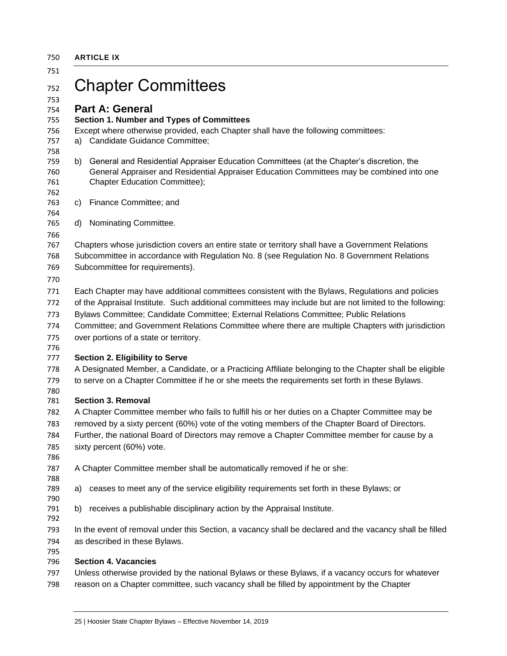<span id="page-24-1"></span><span id="page-24-0"></span>

|    | <b>ARTICLE IX</b>                                                                                                                                                                                                      |
|----|------------------------------------------------------------------------------------------------------------------------------------------------------------------------------------------------------------------------|
|    | <b>Chapter Committees</b>                                                                                                                                                                                              |
|    | <b>Part A: General</b>                                                                                                                                                                                                 |
|    | Section 1. Number and Types of Committees                                                                                                                                                                              |
|    | Except where otherwise provided, each Chapter shall have the following committees:                                                                                                                                     |
|    | a) Candidate Guidance Committee;                                                                                                                                                                                       |
| b) | General and Residential Appraiser Education Committees (at the Chapter's discretion, the<br>General Appraiser and Residential Appraiser Education Committees may be combined into one<br>Chapter Education Committee); |
| C) | Finance Committee; and                                                                                                                                                                                                 |
| d) | Nominating Committee.                                                                                                                                                                                                  |
|    |                                                                                                                                                                                                                        |
|    | Chapters whose jurisdiction covers an entire state or territory shall have a Government Relations                                                                                                                      |
|    | Subcommittee in accordance with Regulation No. 8 (see Regulation No. 8 Government Relations                                                                                                                            |
|    | Subcommittee for requirements).                                                                                                                                                                                        |
|    |                                                                                                                                                                                                                        |
|    | Each Chapter may have additional committees consistent with the Bylaws, Regulations and policies                                                                                                                       |
|    | of the Appraisal Institute. Such additional committees may include but are not limited to the following:                                                                                                               |
|    | Bylaws Committee; Candidate Committee; External Relations Committee; Public Relations                                                                                                                                  |
|    | Committee; and Government Relations Committee where there are multiple Chapters with jurisdiction                                                                                                                      |
|    | over portions of a state or territory.                                                                                                                                                                                 |
|    |                                                                                                                                                                                                                        |
|    | <b>Section 2. Eligibility to Serve</b>                                                                                                                                                                                 |
|    | A Designated Member, a Candidate, or a Practicing Affiliate belonging to the Chapter shall be eligible                                                                                                                 |
|    | to serve on a Chapter Committee if he or she meets the requirements set forth in these Bylaws.                                                                                                                         |
|    |                                                                                                                                                                                                                        |
|    | <b>Section 3. Removal</b>                                                                                                                                                                                              |
|    | A Chapter Committee member who fails to fulfill his or her duties on a Chapter Committee may be                                                                                                                        |
|    | removed by a sixty percent (60%) vote of the voting members of the Chapter Board of Directors.                                                                                                                         |
|    | Further, the national Board of Directors may remove a Chapter Committee member for cause by a                                                                                                                          |
|    | sixty percent (60%) vote.                                                                                                                                                                                              |
|    |                                                                                                                                                                                                                        |
|    | A Chapter Committee member shall be automatically removed if he or she:                                                                                                                                                |
| a) | ceases to meet any of the service eligibility requirements set forth in these Bylaws; or                                                                                                                               |
|    |                                                                                                                                                                                                                        |
| b) | receives a publishable disciplinary action by the Appraisal Institute.                                                                                                                                                 |
|    | In the event of removal under this Section, a vacancy shall be declared and the vacancy shall be filled                                                                                                                |
|    | as described in these Bylaws.                                                                                                                                                                                          |
|    | <b>Section 4. Vacancies</b>                                                                                                                                                                                            |
|    | Unless otherwise provided by the national Bylaws or these Bylaws, if a vacancy occurs for whatever                                                                                                                     |
|    |                                                                                                                                                                                                                        |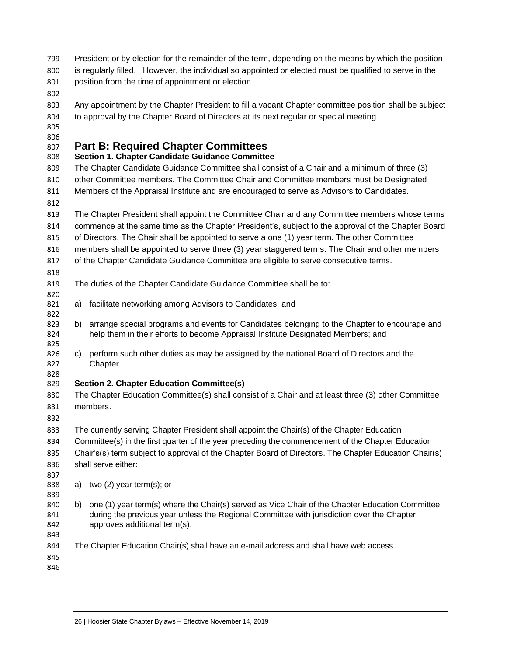- President or by election for the remainder of the term, depending on the means by which the position is regularly filled. However, the individual so appointed or elected must be qualified to serve in the position from the time of appointment or election.
- 
- Any appointment by the Chapter President to fill a vacant Chapter committee position shall be subject to approval by the Chapter Board of Directors at its next regular or special meeting.
- 

## <span id="page-25-0"></span>**Part B: Required Chapter Committees**

### **Section 1. Chapter Candidate Guidance Committee**

 The Chapter Candidate Guidance Committee shall consist of a Chair and a minimum of three (3) other Committee members. The Committee Chair and Committee members must be Designated Members of the Appraisal Institute and are encouraged to serve as Advisors to Candidates.

 The Chapter President shall appoint the Committee Chair and any Committee members whose terms commence at the same time as the Chapter President's, subject to the approval of the Chapter Board

of Directors. The Chair shall be appointed to serve a one (1) year term. The other Committee

members shall be appointed to serve three (3) year staggered terms. The Chair and other members

- of the Chapter Candidate Guidance Committee are eligible to serve consecutive terms.
- 

- The duties of the Chapter Candidate Guidance Committee shall be to:
- a) facilitate networking among Advisors to Candidates; and
- 823 b) arrange special programs and events for Candidates belonging to the Chapter to encourage and help them in their efforts to become Appraisal Institute Designated Members; and
- c) perform such other duties as may be assigned by the national Board of Directors and the Chapter.
- 

## **Section 2. Chapter Education Committee(s)**

- The Chapter Education Committee(s) shall consist of a Chair and at least three (3) other Committee members.
- 
- The currently serving Chapter President shall appoint the Chair(s) of the Chapter Education
- Committee(s) in the first quarter of the year preceding the commencement of the Chapter Education Chair's(s) term subject to approval of the Chapter Board of Directors. The Chapter Education Chair(s) shall serve either:
- 
- a) two (2) year term(s); or
- 
- b) one (1) year term(s) where the Chair(s) served as Vice Chair of the Chapter Education Committee during the previous year unless the Regional Committee with jurisdiction over the Chapter approves additional term(s).
- 
- The Chapter Education Chair(s) shall have an e-mail address and shall have web access.
-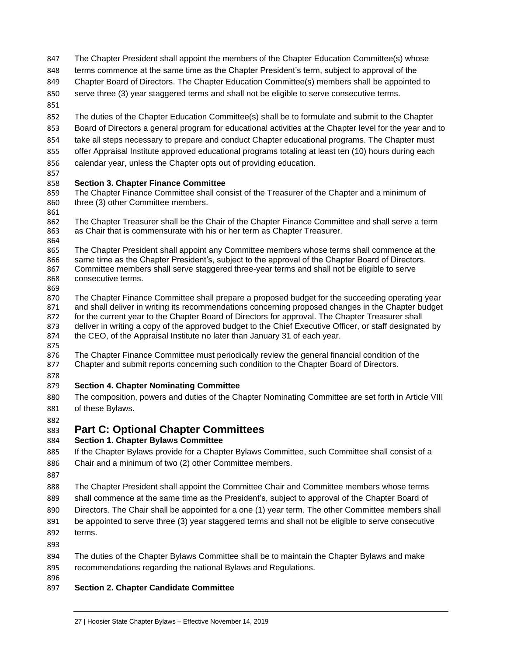- The Chapter President shall appoint the members of the Chapter Education Committee(s) whose
- terms commence at the same time as the Chapter President's term, subject to approval of the
- Chapter Board of Directors. The Chapter Education Committee(s) members shall be appointed to
- serve three (3) year staggered terms and shall not be eligible to serve consecutive terms.
- 

 The duties of the Chapter Education Committee(s) shall be to formulate and submit to the Chapter Board of Directors a general program for educational activities at the Chapter level for the year and to take all steps necessary to prepare and conduct Chapter educational programs. The Chapter must offer Appraisal Institute approved educational programs totaling at least ten (10) hours during each calendar year, unless the Chapter opts out of providing education.

#### **Section 3. Chapter Finance Committee**

- The Chapter Finance Committee shall consist of the Treasurer of the Chapter and a minimum of three (3) other Committee members.
- 

 The Chapter Treasurer shall be the Chair of the Chapter Finance Committee and shall serve a term as Chair that is commensurate with his or her term as Chapter Treasurer.

864<br>865 The Chapter President shall appoint any Committee members whose terms shall commence at the same time as the Chapter President's, subject to the approval of the Chapter Board of Directors. Committee members shall serve staggered three-year terms and shall not be eligible to serve consecutive terms.

 The Chapter Finance Committee shall prepare a proposed budget for the succeeding operating year and shall deliver in writing its recommendations concerning proposed changes in the Chapter budget for the current year to the Chapter Board of Directors for approval. The Chapter Treasurer shall deliver in writing a copy of the approved budget to the Chief Executive Officer, or staff designated by the CEO, of the Appraisal Institute no later than January 31 of each year.

 The Chapter Finance Committee must periodically review the general financial condition of the Chapter and submit reports concerning such condition to the Chapter Board of Directors.

#### **Section 4. Chapter Nominating Committee**

 The composition, powers and duties of the Chapter Nominating Committee are set forth in Article VIII of these Bylaws.

### <span id="page-26-0"></span>**Part C: Optional Chapter Committees**

#### **Section 1. Chapter Bylaws Committee**

 If the Chapter Bylaws provide for a Chapter Bylaws Committee, such Committee shall consist of a Chair and a minimum of two (2) other Committee members.

 The Chapter President shall appoint the Committee Chair and Committee members whose terms shall commence at the same time as the President's, subject to approval of the Chapter Board of Directors. The Chair shall be appointed for a one (1) year term. The other Committee members shall be appointed to serve three (3) year staggered terms and shall not be eligible to serve consecutive terms.

 The duties of the Chapter Bylaws Committee shall be to maintain the Chapter Bylaws and make recommendations regarding the national Bylaws and Regulations.

**Section 2. Chapter Candidate Committee**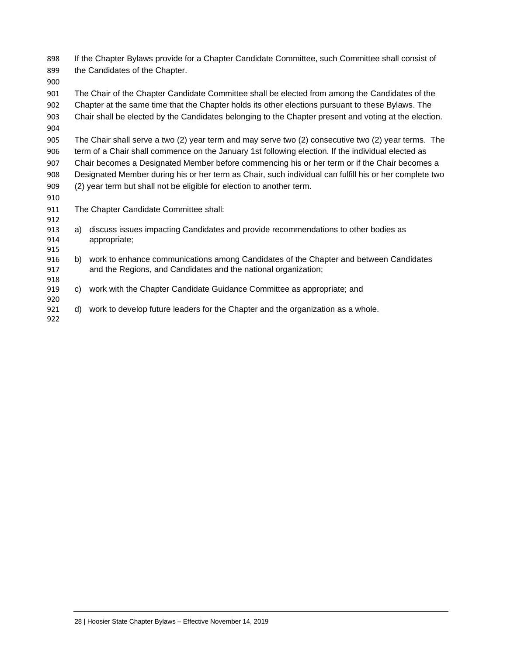| 898<br>899 | If the Chapter Bylaws provide for a Chapter Candidate Committee, such Committee shall consist of<br>the Candidates of the Chapter. |                                                                                                    |  |  |
|------------|------------------------------------------------------------------------------------------------------------------------------------|----------------------------------------------------------------------------------------------------|--|--|
| 900        |                                                                                                                                    |                                                                                                    |  |  |
| 901        |                                                                                                                                    | The Chair of the Chapter Candidate Committee shall be elected from among the Candidates of the     |  |  |
| 902        |                                                                                                                                    | Chapter at the same time that the Chapter holds its other elections pursuant to these Bylaws. The  |  |  |
| 903<br>904 | Chair shall be elected by the Candidates belonging to the Chapter present and voting at the election.                              |                                                                                                    |  |  |
| 905        | The Chair shall serve a two (2) year term and may serve two (2) consecutive two (2) year terms. The                                |                                                                                                    |  |  |
| 906        | term of a Chair shall commence on the January 1st following election. If the individual elected as                                 |                                                                                                    |  |  |
| 907        |                                                                                                                                    | Chair becomes a Designated Member before commencing his or her term or if the Chair becomes a      |  |  |
| 908        | Designated Member during his or her term as Chair, such individual can fulfill his or her complete two                             |                                                                                                    |  |  |
| 909        | (2) year term but shall not be eligible for election to another term.                                                              |                                                                                                    |  |  |
| 910        |                                                                                                                                    |                                                                                                    |  |  |
| 911        |                                                                                                                                    | The Chapter Candidate Committee shall:                                                             |  |  |
| 912        |                                                                                                                                    |                                                                                                    |  |  |
| 913<br>914 | a)                                                                                                                                 | discuss issues impacting Candidates and provide recommendations to other bodies as<br>appropriate; |  |  |
| 915        |                                                                                                                                    |                                                                                                    |  |  |
| 916        | b)                                                                                                                                 | work to enhance communications among Candidates of the Chapter and between Candidates              |  |  |
| 917        |                                                                                                                                    | and the Regions, and Candidates and the national organization;                                     |  |  |
| 918        |                                                                                                                                    |                                                                                                    |  |  |
| 919<br>920 | C)                                                                                                                                 | work with the Chapter Candidate Guidance Committee as appropriate; and                             |  |  |
| 921        |                                                                                                                                    | d) work to develop future leaders for the Chapter and the organization as a whole.                 |  |  |
| 922        |                                                                                                                                    |                                                                                                    |  |  |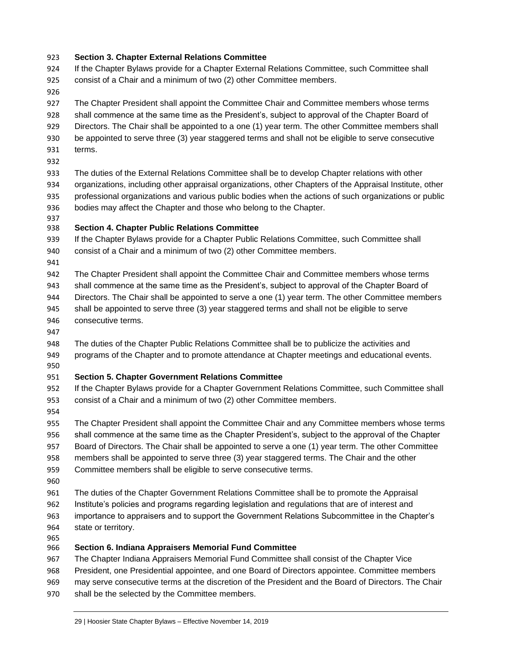#### **Section 3. Chapter External Relations Committee**

- If the Chapter Bylaws provide for a Chapter External Relations Committee, such Committee shall consist of a Chair and a minimum of two (2) other Committee members.
- 

 The Chapter President shall appoint the Committee Chair and Committee members whose terms shall commence at the same time as the President's, subject to approval of the Chapter Board of Directors. The Chair shall be appointed to a one (1) year term. The other Committee members shall be appointed to serve three (3) year staggered terms and shall not be eligible to serve consecutive terms.

 The duties of the External Relations Committee shall be to develop Chapter relations with other organizations, including other appraisal organizations, other Chapters of the Appraisal Institute, other professional organizations and various public bodies when the actions of such organizations or public bodies may affect the Chapter and those who belong to the Chapter.

### **Section 4. Chapter Public Relations Committee**

 If the Chapter Bylaws provide for a Chapter Public Relations Committee, such Committee shall consist of a Chair and a minimum of two (2) other Committee members.

 The Chapter President shall appoint the Committee Chair and Committee members whose terms shall commence at the same time as the President's, subject to approval of the Chapter Board of Directors. The Chair shall be appointed to serve a one (1) year term. The other Committee members shall be appointed to serve three (3) year staggered terms and shall not be eligible to serve consecutive terms.

 The duties of the Chapter Public Relations Committee shall be to publicize the activities and programs of the Chapter and to promote attendance at Chapter meetings and educational events. 

#### **Section 5. Chapter Government Relations Committee**

 If the Chapter Bylaws provide for a Chapter Government Relations Committee, such Committee shall consist of a Chair and a minimum of two (2) other Committee members.

955 The Chapter President shall appoint the Committee Chair and any Committee members whose terms shall commence at the same time as the Chapter President's, subject to the approval of the Chapter Board of Directors. The Chair shall be appointed to serve a one (1) year term. The other Committee members shall be appointed to serve three (3) year staggered terms. The Chair and the other Committee members shall be eligible to serve consecutive terms.

 The duties of the Chapter Government Relations Committee shall be to promote the Appraisal Institute's policies and programs regarding legislation and regulations that are of interest and importance to appraisers and to support the Government Relations Subcommittee in the Chapter's state or territory.

#### **Section 6. Indiana Appraisers Memorial Fund Committee**

 The Chapter Indiana Appraisers Memorial Fund Committee shall consist of the Chapter Vice President, one Presidential appointee, and one Board of Directors appointee. Committee members

- may serve consecutive terms at the discretion of the President and the Board of Directors. The Chair
- shall be the selected by the Committee members.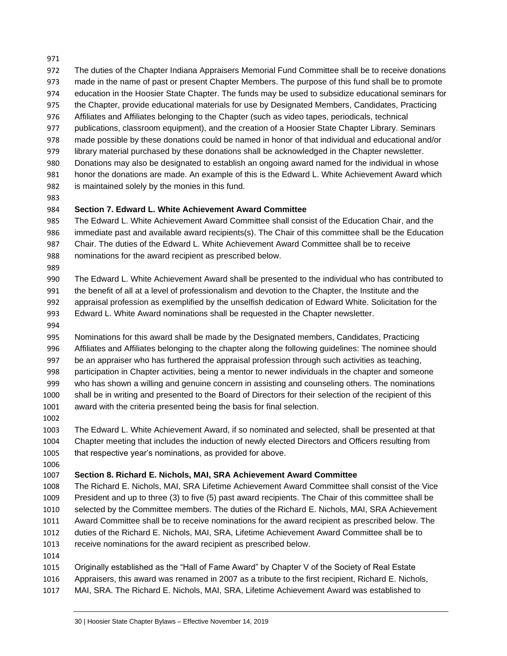- 
- The duties of the Chapter Indiana Appraisers Memorial Fund Committee shall be to receive donations
- made in the name of past or present Chapter Members. The purpose of this fund shall be to promote
- education in the Hoosier State Chapter. The funds may be used to subsidize educational seminars for
- the Chapter, provide educational materials for use by Designated Members, Candidates, Practicing
- Affiliates and Affiliates belonging to the Chapter (such as video tapes, periodicals, technical
- publications, classroom equipment), and the creation of a Hoosier State Chapter Library. Seminars
- made possible by these donations could be named in honor of that individual and educational and/or
- library material purchased by these donations shall be acknowledged in the Chapter newsletter.
- Donations may also be designated to establish an ongoing award named for the individual in whose honor the donations are made. An example of this is the Edward L. White Achievement Award which is maintained solely by the monies in this fund.
- 

### **Section 7. Edward L. White Achievement Award Committee**

 The Edward L. White Achievement Award Committee shall consist of the Education Chair, and the immediate past and available award recipients(s). The Chair of this committee shall be the Education Chair. The duties of the Edward L. White Achievement Award Committee shall be to receive nominations for the award recipient as prescribed below.

 The Edward L. White Achievement Award shall be presented to the individual who has contributed to the benefit of all at a level of professionalism and devotion to the Chapter, the Institute and the appraisal profession as exemplified by the unselfish dedication of Edward White. Solicitation for the Edward L. White Award nominations shall be requested in the Chapter newsletter.

 Nominations for this award shall be made by the Designated members, Candidates, Practicing Affiliates and Affiliates belonging to the chapter along the following guidelines: The nominee should be an appraiser who has furthered the appraisal profession through such activities as teaching, participation in Chapter activities, being a mentor to newer individuals in the chapter and someone who has shown a willing and genuine concern in assisting and counseling others. The nominations shall be in writing and presented to the Board of Directors for their selection of the recipient of this award with the criteria presented being the basis for final selection.

 The Edward L. White Achievement Award, if so nominated and selected, shall be presented at that Chapter meeting that includes the induction of newly elected Directors and Officers resulting from that respective year's nominations, as provided for above.

### **Section 8. Richard E. Nichols, MAI, SRA Achievement Award Committee**

 The Richard E. Nichols, MAI, SRA Lifetime Achievement Award Committee shall consist of the Vice President and up to three (3) to five (5) past award recipients. The Chair of this committee shall be selected by the Committee members. The duties of the Richard E. Nichols, MAI, SRA Achievement Award Committee shall be to receive nominations for the award recipient as prescribed below. The duties of the Richard E. Nichols, MAI, SRA, Lifetime Achievement Award Committee shall be to receive nominations for the award recipient as prescribed below.

 Originally established as the "Hall of Fame Award" by Chapter V of the Society of Real Estate Appraisers, this award was renamed in 2007 as a tribute to the first recipient, Richard E. Nichols, MAI, SRA. The Richard E. Nichols, MAI, SRA, Lifetime Achievement Award was established to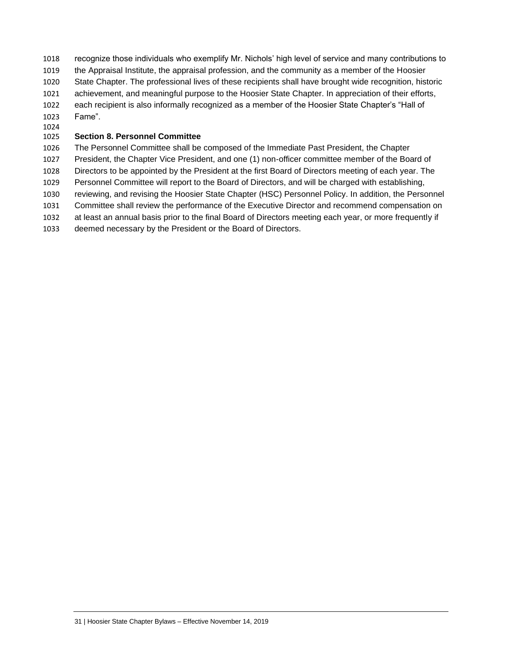- recognize those individuals who exemplify Mr. Nichols' high level of service and many contributions to the Appraisal Institute, the appraisal profession, and the community as a member of the Hoosier State Chapter. The professional lives of these recipients shall have brought wide recognition, historic achievement, and meaningful purpose to the Hoosier State Chapter. In appreciation of their efforts, each recipient is also informally recognized as a member of the Hoosier State Chapter's "Hall of Fame".
- 

#### **Section 8. Personnel Committee**

 The Personnel Committee shall be composed of the Immediate Past President, the Chapter President, the Chapter Vice President, and one (1) non-officer committee member of the Board of Directors to be appointed by the President at the first Board of Directors meeting of each year. The Personnel Committee will report to the Board of Directors, and will be charged with establishing, reviewing, and revising the Hoosier State Chapter (HSC) Personnel Policy. In addition, the Personnel Committee shall review the performance of the Executive Director and recommend compensation on at least an annual basis prior to the final Board of Directors meeting each year, or more frequently if deemed necessary by the President or the Board of Directors.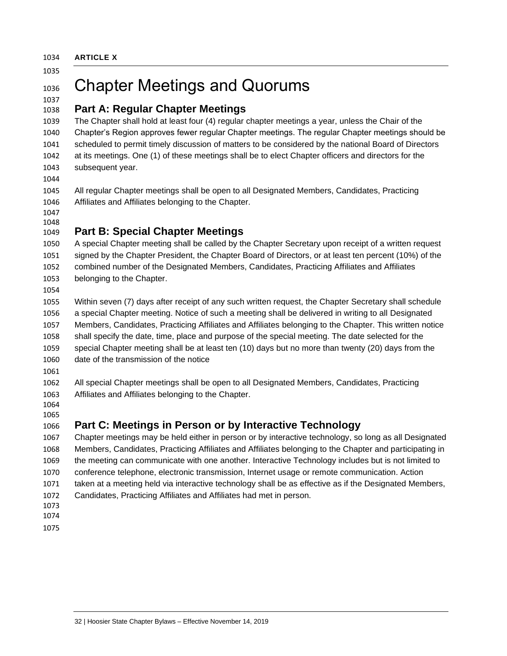<span id="page-31-0"></span>**ARTICLE X**

## Chapter Meetings and Quorums

## <span id="page-31-1"></span>**Part A: Regular Chapter Meetings**

 The Chapter shall hold at least four (4) regular chapter meetings a year, unless the Chair of the Chapter's Region approves fewer regular Chapter meetings. The regular Chapter meetings should be 1041 scheduled to permit timely discussion of matters to be considered by the national Board of Directors at its meetings. One (1) of these meetings shall be to elect Chapter officers and directors for the subsequent year.

 All regular Chapter meetings shall be open to all Designated Members, Candidates, Practicing Affiliates and Affiliates belonging to the Chapter.

#### 

## <span id="page-31-2"></span>**Part B: Special Chapter Meetings**

 A special Chapter meeting shall be called by the Chapter Secretary upon receipt of a written request signed by the Chapter President, the Chapter Board of Directors, or at least ten percent (10%) of the combined number of the Designated Members, Candidates, Practicing Affiliates and Affiliates belonging to the Chapter.

 Within seven (7) days after receipt of any such written request, the Chapter Secretary shall schedule a special Chapter meeting. Notice of such a meeting shall be delivered in writing to all Designated Members, Candidates, Practicing Affiliates and Affiliates belonging to the Chapter. This written notice shall specify the date, time, place and purpose of the special meeting. The date selected for the special Chapter meeting shall be at least ten (10) days but no more than twenty (20) days from the date of the transmission of the notice

 All special Chapter meetings shall be open to all Designated Members, Candidates, Practicing Affiliates and Affiliates belonging to the Chapter.

## 

## **Part C: Meetings in Person or by Interactive Technology**

 Chapter meetings may be held either in person or by interactive technology, so long as all Designated Members, Candidates, Practicing Affiliates and Affiliates belonging to the Chapter and participating in the meeting can communicate with one another. Interactive Technology includes but is not limited to conference telephone, electronic transmission, Internet usage or remote communication. Action taken at a meeting held via interactive technology shall be as effective as if the Designated Members, Candidates, Practicing Affiliates and Affiliates had met in person.

- 
- 
-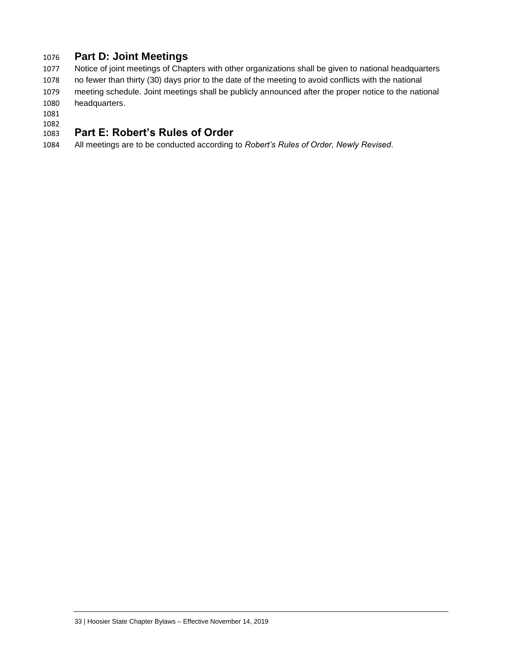## <span id="page-32-0"></span>**Part D: Joint Meetings**

 Notice of joint meetings of Chapters with other organizations shall be given to national headquarters no fewer than thirty (30) days prior to the date of the meeting to avoid conflicts with the national meeting schedule. Joint meetings shall be publicly announced after the proper notice to the national headquarters.

#### <span id="page-32-1"></span> **Part E: Robert's Rules of Order**

All meetings are to be conducted according to *Robert's Rules of Order, Newly Revised*.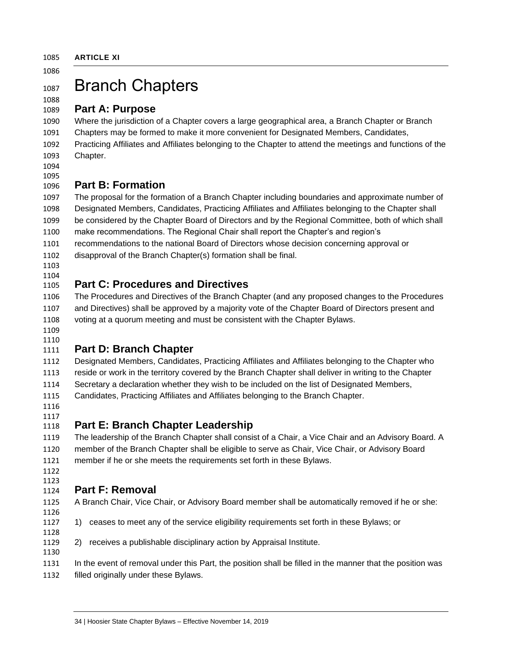## 1087 Branch Chapters

### <span id="page-33-1"></span>**Part A: Purpose**

 Where the jurisdiction of a Chapter covers a large geographical area, a Branch Chapter or Branch Chapters may be formed to make it more convenient for Designated Members, Candidates, Practicing Affiliates and Affiliates belonging to the Chapter to attend the meetings and functions of the Chapter.

#### <span id="page-33-2"></span> **Part B: Formation**

 The proposal for the formation of a Branch Chapter including boundaries and approximate number of Designated Members, Candidates, Practicing Affiliates and Affiliates belonging to the Chapter shall be considered by the Chapter Board of Directors and by the Regional Committee, both of which shall make recommendations. The Regional Chair shall report the Chapter's and region's recommendations to the national Board of Directors whose decision concerning approval or disapproval of the Branch Chapter(s) formation shall be final.

 

## <span id="page-33-3"></span>**Part C: Procedures and Directives**

 The Procedures and Directives of the Branch Chapter (and any proposed changes to the Procedures and Directives) shall be approved by a majority vote of the Chapter Board of Directors present and voting at a quorum meeting and must be consistent with the Chapter Bylaws.

 

## <span id="page-33-4"></span>**Part D: Branch Chapter**

 Designated Members, Candidates, Practicing Affiliates and Affiliates belonging to the Chapter who reside or work in the territory covered by the Branch Chapter shall deliver in writing to the Chapter Secretary a declaration whether they wish to be included on the list of Designated Members, Candidates, Practicing Affiliates and Affiliates belonging to the Branch Chapter.

## 

<span id="page-33-5"></span>**Part E: Branch Chapter Leadership**

 The leadership of the Branch Chapter shall consist of a Chair, a Vice Chair and an Advisory Board. A member of the Branch Chapter shall be eligible to serve as Chair, Vice Chair, or Advisory Board member if he or she meets the requirements set forth in [these](#page-9-0) Bylaws.

 

## <span id="page-33-6"></span>**Part F: Removal**

A Branch Chair, Vice Chair, or Advisory Board member shall be automatically removed if he or she:

- 1) ceases to meet any of the service eligibility requirements set forth in these Bylaws; or
- 2) receives a publishable disciplinary action by Appraisal Institute.

 In the event of removal under this Part, the position shall be filled in the manner that the position was filled originally under these Bylaws.

<span id="page-33-0"></span>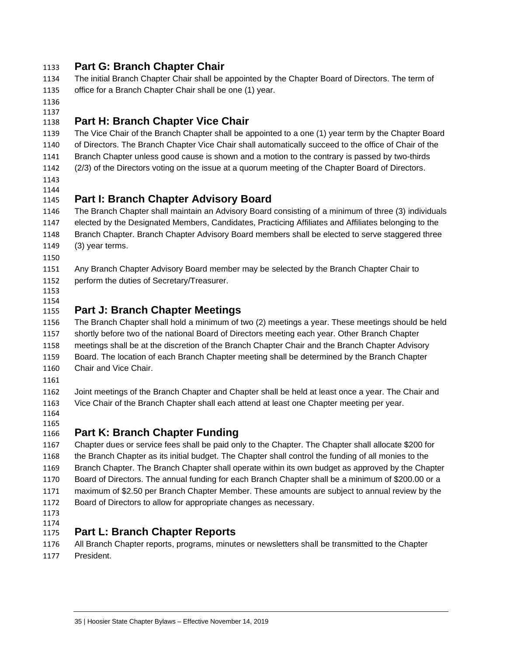## <span id="page-34-0"></span>**Part G: Branch Chapter Chair**

- The initial Branch Chapter Chair shall be appointed by the Chapter Board of Directors. The term of office for a Branch Chapter Chair shall be one (1) year.
- 
- 

## <span id="page-34-1"></span>**Part H: Branch Chapter Vice Chair**

 The Vice Chair of the Branch Chapter shall be appointed to a one (1) year term by the Chapter Board of Directors. The Branch Chapter Vice Chair shall automatically succeed to the office of Chair of the Branch Chapter unless good cause is shown and a motion to the contrary is passed by two-thirds

(2/3) of the Directors voting on the issue at a quorum meeting of the Chapter Board of Directors.

 

## <span id="page-34-2"></span>**Part I: Branch Chapter Advisory Board**

 The Branch Chapter shall maintain an Advisory Board consisting of a minimum of three (3) individuals elected by the Designated Members, Candidates, Practicing Affiliates and Affiliates belonging to the Branch Chapter. Branch Chapter Advisory Board members shall be elected to serve staggered three (3) year terms.

 Any Branch Chapter Advisory Board member may be selected by the Branch Chapter Chair to perform the duties of Secretary/Treasurer.

 

## <span id="page-34-3"></span>**Part J: Branch Chapter Meetings**

 The Branch Chapter shall hold a minimum of two (2) meetings a year. These meetings should be held shortly before two of the national Board of Directors meeting each year. Other Branch Chapter meetings shall be at the discretion of the Branch Chapter Chair and the Branch Chapter Advisory Board. The location of each Branch Chapter meeting shall be determined by the Branch Chapter Chair and Vice Chair.

 Joint meetings of the Branch Chapter and Chapter shall be held at least once a year. The Chair and Vice Chair of the Branch Chapter shall each attend at least one Chapter meeting per year.

 

## <span id="page-34-4"></span>**Part K: Branch Chapter Funding**

 Chapter dues or service fees shall be paid only to the Chapter. The Chapter shall allocate \$200 for the Branch Chapter as its initial budget. The Chapter shall control the funding of all monies to the Branch Chapter. The Branch Chapter shall operate within its own budget as approved by the Chapter Board of Directors. The annual funding for each Branch Chapter shall be a minimum of \$200.00 or a maximum of \$2.50 per Branch Chapter Member. These amounts are subject to annual review by the Board of Directors to allow for appropriate changes as necessary.

- 
- 

## <span id="page-34-5"></span>**Part L: Branch Chapter Reports**

 All Branch Chapter reports, programs, minutes or newsletters shall be transmitted to the Chapter President.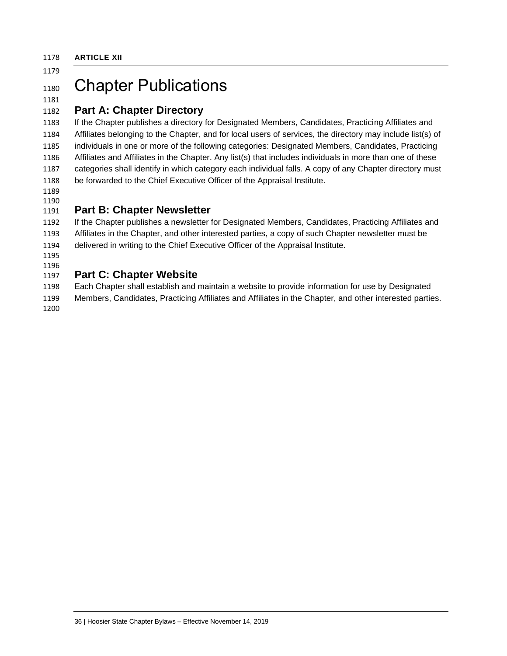<span id="page-35-0"></span>**ARTICLE XII**

## 

## 1180 Chapter Publications

## **Part A: Chapter Directory**

 If the Chapter publishes a directory for Designated Members, Candidates, Practicing Affiliates and Affiliates belonging to the Chapter, and for local users of services, the directory may include list(s) of individuals in one or more of the following categories: Designated Members, Candidates, Practicing Affiliates and Affiliates in the Chapter. Any list(s) that includes individuals in more than one of these categories shall identify in which category each individual falls. A copy of any Chapter directory must be forwarded to the Chief Executive Officer of the Appraisal Institute.

#### 

## <span id="page-35-1"></span>**Part B: Chapter Newsletter**

 If the Chapter publishes a newsletter for Designated Members, Candidates, Practicing Affiliates and Affiliates in the Chapter, and other interested parties, a copy of such Chapter newsletter must be delivered in writing to the Chief Executive Officer of the Appraisal Institute.

 

## <span id="page-35-2"></span>**Part C: Chapter Website**

 Each Chapter shall establish and maintain a website to provide information for use by Designated Members, Candidates, Practicing Affiliates and Affiliates in the Chapter, and other interested parties.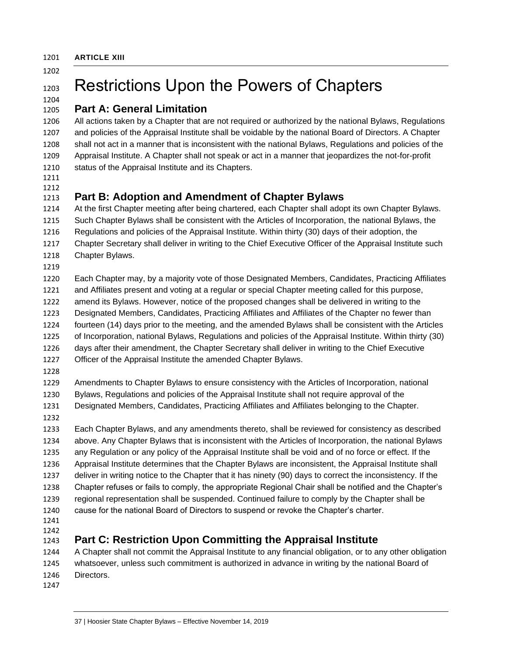<span id="page-36-0"></span>**ARTICLE XIII**

## 1203 Restrictions Upon the Powers of Chapters

#### <span id="page-36-1"></span> **Part A: General Limitation**

 All actions taken by a Chapter that are not required or authorized by the national Bylaws, Regulations and policies of the Appraisal Institute shall be voidable by the national Board of Directors. A Chapter shall not act in a manner that is inconsistent with the national Bylaws, Regulations and policies of the Appraisal Institute. A Chapter shall not speak or act in a manner that jeopardizes the not-for-profit status of the Appraisal Institute and its Chapters.

 

## <span id="page-36-2"></span>**Part B: Adoption and Amendment of Chapter Bylaws**

 At the first Chapter meeting after being chartered, each Chapter shall adopt its own Chapter Bylaws. Such Chapter Bylaws shall be consistent with the Articles of Incorporation, the national Bylaws, the Regulations and policies of the Appraisal Institute. Within thirty (30) days of their adoption, the Chapter Secretary shall deliver in writing to the Chief Executive Officer of the Appraisal Institute such Chapter Bylaws.

 Each Chapter may, by a majority vote of those Designated Members, Candidates, Practicing Affiliates and Affiliates present and voting at a regular or special Chapter meeting called for this purpose, amend its Bylaws. However, notice of the proposed changes shall be delivered in writing to the Designated Members, Candidates, Practicing Affiliates and Affiliates of the Chapter no fewer than fourteen (14) days prior to the meeting, and the amended Bylaws shall be consistent with the Articles of Incorporation, national Bylaws, Regulations and policies of the Appraisal Institute. Within thirty (30) days after their amendment, the Chapter Secretary shall deliver in writing to the Chief Executive Officer of the Appraisal Institute the amended Chapter Bylaws.

 Amendments to Chapter Bylaws to ensure consistency with the Articles of Incorporation, national Bylaws, Regulations and policies of the Appraisal Institute shall not require approval of the Designated Members, Candidates, Practicing Affiliates and Affiliates belonging to the Chapter.

 Each Chapter Bylaws, and any amendments thereto, shall be reviewed for consistency as described above. Any Chapter Bylaws that is inconsistent with the Articles of Incorporation, the national Bylaws any Regulation or any policy of the Appraisal Institute shall be void and of no force or effect. If the Appraisal Institute determines that the Chapter Bylaws are inconsistent, the Appraisal Institute shall deliver in writing notice to the Chapter that it has ninety (90) days to correct the inconsistency. If the Chapter refuses or fails to comply, the appropriate Regional Chair shall be notified and the Chapter's regional representation shall be suspended. Continued failure to comply by the Chapter shall be cause for the national Board of Directors to suspend or revoke the Chapter's charter.

- 
- 

## <span id="page-36-3"></span>**Part C: Restriction Upon Committing the Appraisal Institute**

 A Chapter shall not commit the Appraisal Institute to any financial obligation, or to any other obligation whatsoever, unless such commitment is authorized in advance in writing by the national Board of Directors.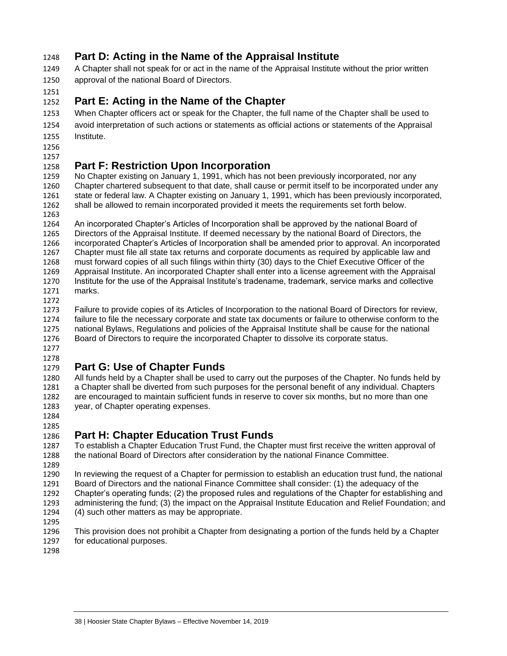## <span id="page-37-0"></span>**Part D: Acting in the Name of the Appraisal Institute**

 A Chapter shall not speak for or act in the name of the Appraisal Institute without the prior written approval of the national Board of Directors.

### 

## <span id="page-37-1"></span>**Part E: Acting in the Name of the Chapter**

 When Chapter officers act or speak for the Chapter, the full name of the Chapter shall be used to avoid interpretation of such actions or statements as official actions or statements of the Appraisal Institute.

 

## <span id="page-37-2"></span>**Part F: Restriction Upon Incorporation**

 No Chapter existing on January 1, 1991, which has not been previously incorporated, nor any 1260 Chapter chartered subsequent to that date, shall cause or permit itself to be incorporated under any<br>1261 State or federal law. A Chapter existing on January 1, 1991, which has been previously incorporated state or federal law. A Chapter existing on January 1, 1991, which has been previously incorporated, shall be allowed to remain incorporated provided it meets the requirements set forth below.

1263<br>1264

An incorporated Chapter's Articles of Incorporation shall be approved by the national Board of Directors of the Appraisal Institute. If deemed necessary by the national Board of Directors, the 1266 incorporated Chapter's Articles of Incorporation shall be amended prior to approval. An incorporated 1267<br>1267 Chapter must file all state tax returns and corporate documents as required by applicable law and Chapter must file all state tax returns and corporate documents as required by applicable law and must forward copies of all such filings within thirty (30) days to the Chief Executive Officer of the Appraisal Institute. An incorporated Chapter shall enter into a license agreement with the Appraisal Institute for the use of the Appraisal Institute's tradename, trademark, service marks and collective marks.

1272<br>1273

Failure to provide copies of its Articles of Incorporation to the national Board of Directors for review, failure to file the necessary corporate and state tax documents or failure to otherwise conform to the national Bylaws, Regulations and policies of the Appraisal Institute shall be cause for the national Board of Directors to require the incorporated Chapter to dissolve its corporate status.

 

## <span id="page-37-3"></span>**Part G: Use of Chapter Funds**

 All funds held by a Chapter shall be used to carry out the purposes of the Chapter. No funds held by 1281 a Chapter shall be diverted from such purposes for the personal benefit of any individual. Chapters 1282 are encouraged to maintain sufficient funds in reserve to cover six months, but no more than one are encouraged to maintain sufficient funds in reserve to cover six months, but no more than one year, of Chapter operating expenses.

 

## <span id="page-37-4"></span>**Part H: Chapter Education Trust Funds**

1287 To establish a Chapter Education Trust Fund, the Chapter must first receive the written approval of 1288 the national Board of Directors after consideration by the national Enance Committee. the national Board of Directors after consideration by the national Finance Committee.

 In reviewing the request of a Chapter for permission to establish an education trust fund, the national 1291 Board of Directors and the national Finance Committee shall consider: (1) the adequacy of the 1292 Chapter's operating funds: (2) the proposed rules and regulations of the Chapter for establishing Chapter's operating funds; (2) the proposed rules and regulations of the Chapter for establishing and administering the fund; (3) the impact on the Appraisal Institute Education and Relief Foundation; and (4) such other matters as may be appropriate.

 This provision does not prohibit a Chapter from designating a portion of the funds held by a Chapter for educational purposes.